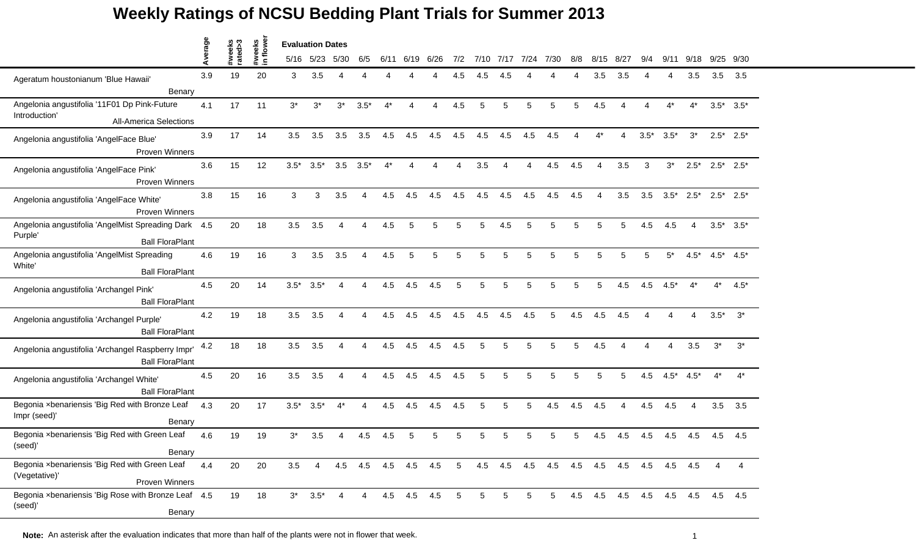|                                                                                           | Average |                   |                    | <b>Evaluation Dates</b> |                |                          |        |       |             |      |                 |                 |                          |           |                 |     |                         |        |                          |             |        |        |                 |
|-------------------------------------------------------------------------------------------|---------|-------------------|--------------------|-------------------------|----------------|--------------------------|--------|-------|-------------|------|-----------------|-----------------|--------------------------|-----------|-----------------|-----|-------------------------|--------|--------------------------|-------------|--------|--------|-----------------|
|                                                                                           |         | #weeks<br>rated>3 | #weeks<br>in flowe |                         | 5/16 5/23      | 5/30                     | 6/5    | 6/11  | 6/19        | 6/26 | 7/2             | 7/10            | 7/17                     | 7/24 7/30 |                 | 8/8 | 8/15                    | - 8/27 | 9/4                      | 9/11        | 9/18   | 9/25   | 9/30            |
| Ageratum houstonianum 'Blue Hawaii'<br>Benary                                             | 3.9     | 19                | 20                 | 3                       | 3.5            |                          |        |       |             |      | 4.5             | 4.5             | 4.5                      |           |                 |     | 3.5                     | 3.5    |                          | Δ           | 3.5    | 3.5    | 3.5             |
| Angelonia angustifolia '11F01 Dp Pink-Future                                              | 4.1     | 17                | 11                 | $3^*$                   | $3^{\star}$    | $3^*$                    | $3.5*$ | $4^*$ | Δ           | Δ    | 4.5             | 5               | 5                        | 5         | 5               | 5   | 4.5                     |        | $\boldsymbol{\varDelta}$ | $4^*$       | $4^*$  |        | $3.5^*$ $3.5^*$ |
| Introduction'<br><b>All-America Selections</b>                                            |         |                   |                    |                         |                |                          |        |       |             |      |                 |                 |                          |           |                 |     |                         |        |                          |             |        |        |                 |
| Angelonia angustifolia 'AngelFace Blue'<br>Proven Winners                                 | 3.9     | 17                | 14                 | 3.5                     | 3.5            | 3.5                      | 3.5    | 4.5   | 4.5         | 4.5  | 4.5             | 4.5             | 4.5                      | 4.5       | 4.5             |     | $4^*$                   | 4      | $3.5*$                   | $3.5*$      | $3^*$  |        | $2.5^*$ 2.5*    |
| Angelonia angustifolia 'AngelFace Pink'<br>Proven Winners                                 | 3.6     | 15                | 12                 | $3.5*$                  | $3.5*$         | 3.5                      | $3.5*$ | $4^*$ | Δ           | Δ    | $\overline{A}$  | 3.5             | $\boldsymbol{\varDelta}$ | 4         | 4.5             | 4.5 | 4                       | 3.5    | 3                        | $3^*$       | $2.5*$ |        | $2.5^*$ 2.5*    |
| Angelonia angustifolia 'AngelFace White'<br><b>Proven Winners</b>                         | 3.8     | 15                | 16                 | 3                       | 3              | 3.5                      |        | 4.5   | 4.5         | 4.5  | 4.5             | 4.5             | 4.5                      | 4.5       | 4.5             | 4.5 |                         | 3.5    | 3.5                      | $3.5*$      | $2.5*$ |        | $2.5^*$ 2.5*    |
| Angelonia angustifolia 'AngelMist Spreading Dark 4.5<br>Purple'<br><b>Ball FloraPlant</b> |         | 20                | 18                 | 3.5                     | 3.5            | Δ                        | Δ      | 4.5   | 5           | 5    | 5               | 5               | 4.5                      | 5         | 5               | 5   | 5                       | 5      | 4.5                      | 4.5         | 4      |        | $3.5^*$ $3.5^*$ |
| Angelonia angustifolia 'AngelMist Spreading<br>White'<br><b>Ball FloraPlant</b>           | 4.6     | 19                | 16                 | 3                       | 3.5            | 3.5                      | Δ      | 4.5   | 5           | 5    | 5               | 5               | 5                        | 5         | 5               | 5   | 5                       | 5      | 5                        | $5^*$       | $4.5*$ |        | $4.5^*$ $4.5^*$ |
| Angelonia angustifolia 'Archangel Pink'<br><b>Ball FloraPlant</b>                         | 4.5     | 20                | 14                 | $3.5*$                  | $3.5*$         | 4                        | Δ      | 4.5   | 4.5         | 4.5  | 5               | 5               | 5                        | 5         | 5               | 5   | 5                       | 4.5    | 4.5                      | $4.5*$      | $4^*$  | $4^*$  | $4.5*$          |
| Angelonia angustifolia 'Archangel Purple'<br><b>Ball FloraPlant</b>                       | 4.2     | 19                | 18                 | 3.5                     | 3.5            |                          |        | 4.5   | 4.5         | 4.5  | 4.5             | 4.5             | 4.5                      | 4.5       | 5               | 4.5 | 4.5                     | 4.5    |                          |             |        | $3.5*$ | $3^*$           |
| Angelonia angustifolia 'Archangel Raspberry Impr'<br><b>Ball FloraPlant</b>               | 4.2     | 18                | 18                 | 3.5                     | 3.5            | Δ                        | Δ      | 4.5   | 4.5         | 4.5  | 4.5             | 5               | 5                        | 5         | 5               | 5   | 4.5                     |        | $\boldsymbol{\varDelta}$ | 4           | 3.5    | $3^*$  | $3^*$           |
| Angelonia angustifolia 'Archangel White'<br><b>Ball FloraPlant</b>                        | 4.5     | 20                | 16                 | 3.5                     | 3.5            | $\boldsymbol{\varDelta}$ | Δ      | 4.5   | 4.5         | 4.5  | 4.5             | 5               | 5                        | 5         | 5               | 5   | 5                       | 5      | 4.5                      | $4.5*$      | $4.5*$ | $4^*$  | $4^*$           |
| Begonia xbenariensis 'Big Red with Bronze Leaf<br>Impr (seed)'<br>Benary                  | 4.3     | 20                | 17                 | $3.5*$                  | $3.5*$         | 4*                       |        | 4.5   | 4.5         | 4.5  | 4.5             | 5               | 5                        | 5         | 4.5             | 4.5 | 4.5                     |        | 4.5                      | 4.5         |        | 3.5    | 3.5             |
| Begonia xbenariensis 'Big Red with Green Leaf<br>(seed) <sup>.</sup><br>Benary            | 4.6     | 19                | 19                 | $3^*$                   | 3.5            |                          | 4.5    | 4.5   | 5           |      | 5               |                 |                          | 5         |                 | 5   | 4.5                     | 4.5    | 4.5                      | 4.5         | 4.5    | 4.5    | 4.5             |
| Begonia xbenariensis 'Big Red with Green Leaf<br>(Vegetative)'<br>Proven Winners          | 4.4     | 20                | 20                 | 3.5                     | $\overline{4}$ | 4.5                      |        |       | 4.5 4.5 4.5 | 4.5  | $5\overline{)}$ | 4.5             | 4.5 4.5                  |           | 4.5 4.5 4.5 4.5 |     |                         |        |                          | 4.5 4.5 4.5 |        | 4      | 4               |
| Begonia xbenariensis 'Big Rose with Bronze Leaf 4.5<br>(seed)'<br>Benary                  |         | 19                | 18                 |                         | $3^*$ 3.5*     | 4                        | 4      |       | 4.5 4.5     | 4.5  | $\overline{5}$  | $5\phantom{.0}$ | 5                        | 5         | 5 <sub>5</sub>  |     | 4.5 4.5 4.5 4.5 4.5 4.5 |        |                          |             |        |        | 4.5 4.5         |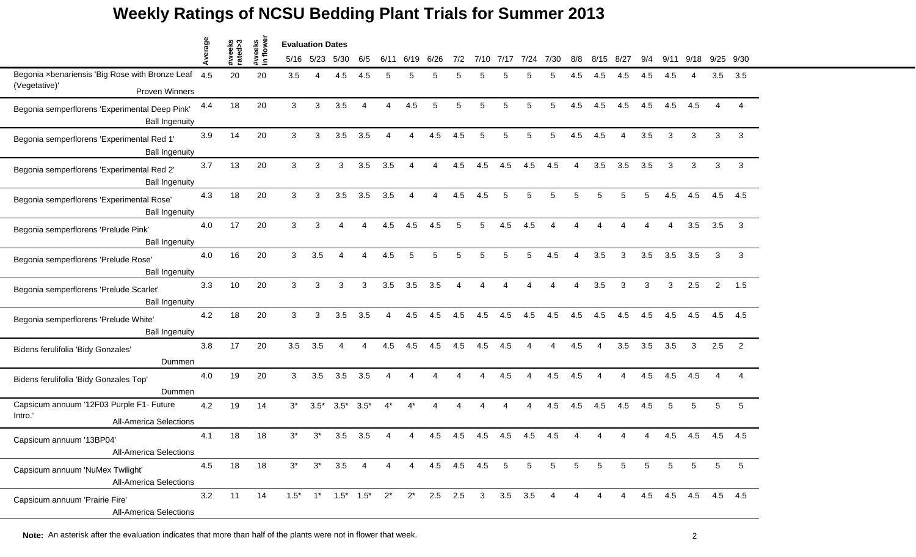|                                                                                      |         |                   |                     | <b>Evaluation Dates</b> |           |                                                                              |        |                        |       |                     |                        |                |      |                |                 |                        |                        |                |                        |      |                 |                        |           |
|--------------------------------------------------------------------------------------|---------|-------------------|---------------------|-------------------------|-----------|------------------------------------------------------------------------------|--------|------------------------|-------|---------------------|------------------------|----------------|------|----------------|-----------------|------------------------|------------------------|----------------|------------------------|------|-----------------|------------------------|-----------|
|                                                                                      | Average | #weeks<br>rated>3 | #weeks<br>in flower |                         | 5/16 5/23 | 5/30                                                                         | 6/5    | 6/11                   | 6/19  | 6/26                | 7/2                    | 7/10           | 7/17 | 7/24           | 7/30            | 8/8                    | 8/15 8/27              |                | 9/4                    | 9/11 | 9/18            |                        | 9/25 9/30 |
| Begonia xbenariensis 'Big Rose with Bronze Leaf 4.5                                  |         | 20                | 20                  | 3.5                     | Δ         | 4.5                                                                          | 4.5    | 5                      | 5     | 5                   | 5                      | 5              |      | 5              |                 | 4.5                    | 4.5                    | 4.5            | 4.5                    | 4.5  |                 | 3.5                    | 3.5       |
| (Vegetative)'<br><b>Proven Winners</b>                                               |         |                   |                     |                         |           |                                                                              |        |                        |       |                     |                        |                |      |                |                 |                        |                        |                |                        |      |                 |                        |           |
| Begonia semperflorens 'Experimental Deep Pink'<br><b>Ball Ingenuity</b>              | 4.4     | 18                | 20                  | 3                       | 3         | 3.5                                                                          | 4      | $\boldsymbol{\Lambda}$ | 4.5   | 5                   | 5                      | 5              | 5    | 5              | 5               | 4.5                    | 4.5                    | 4.5            | 4.5                    | 4.5  | 4.5             | $\overline{4}$         | Δ         |
| Begonia semperflorens 'Experimental Red 1'<br><b>Ball Ingenuity</b>                  | 3.9     | 14                | 20                  | 3                       | 3         | 3.5                                                                          | 3.5    | $\Delta$               | Δ     | 4.5                 | 4.5                    | 5              | 5    | 5              | 5               | 4.5                    | 4.5                    | 4              | 3.5                    | 3    | 3               | 3                      | 3         |
| Begonia semperflorens 'Experimental Red 2'<br><b>Ball Ingenuity</b>                  | 3.7     | 13                | 20                  | 3                       | 3         | 3                                                                            | 3.5    | 3.5                    | Δ     | 4                   | 4.5                    | 4.5            | 4.5  | 4.5            | 4.5             | $\overline{4}$         | 3.5                    | 3.5            | 3.5                    | 3    | 3               | 3                      | 3         |
| Begonia semperflorens 'Experimental Rose'<br><b>Ball Ingenuity</b>                   | 4.3     | 18                | 20                  | 3                       | 3         | 3.5                                                                          | 3.5    | 3.5                    | Δ     | Δ                   | 4.5                    | 4.5            | 5    | 5              | 5               | 5                      | 5                      |                |                        | 4.5  | 4.5             | 4.5                    | 4.5       |
| Begonia semperflorens 'Prelude Pink'<br><b>Ball Ingenuity</b>                        | 4.0     | 17                | 20                  | 3                       | 3         | Δ                                                                            | Δ      | 4.5                    | 4.5   | 4.5                 | 5                      | 5              | 4.5  | 4.5            |                 | Δ                      |                        |                | $\boldsymbol{\Lambda}$ | 4    | 3.5             | 3.5                    | 3         |
| Begonia semperflorens 'Prelude Rose'<br><b>Ball Ingenuity</b>                        | 4.0     | 16                | 20                  | 3                       | 3.5       | Δ                                                                            | Δ      | 4.5                    | 5     | 5                   | 5                      | 5              | 5    | 5              | 4.5             | $\Delta$               | 3.5                    | 3              | 3.5                    | 3.5  | 3.5             | 3                      | 3         |
| Begonia semperflorens 'Prelude Scarlet'<br><b>Ball Ingenuity</b>                     | 3.3     | 10                | 20                  | 3                       | 3         | 3                                                                            | 3      | 3.5                    | 3.5   | 3.5                 | $\boldsymbol{\Lambda}$ | Δ              |      | Δ              |                 | $\boldsymbol{\Lambda}$ | 3.5                    | 3              | 3                      | 3    | 2.5             | $\overline{2}$         | 1.5       |
| Begonia semperflorens 'Prelude White'<br><b>Ball Ingenuity</b>                       | 4.2     | 18                | 20                  | 3                       | 3         | 3.5                                                                          | 3.5    | Δ                      | 4.5   | 4.5                 | 4.5                    | 4.5            | 4.5  | 4.5            | 4.5             | 4.5                    | 4.5                    | 4.5            | 4.5                    | 4.5  | 4.5             | 4.5                    | 4.5       |
| Bidens ferulifolia 'Bidy Gonzales'<br>Dummen                                         | 3.8     | 17                | 20                  | 3.5                     | 3.5       | 4                                                                            | 4      | 4.5                    | 4.5   | 4.5                 | 4.5                    | 4.5            | 4.5  | 4              | 4               | 4.5                    | $\boldsymbol{\Lambda}$ | 3.5            | 3.5                    | 3.5  | 3               | 2.5                    | 2         |
| Bidens ferulifolia 'Bidy Gonzales Top'<br>Dummen                                     | 4.0     | 19                | 20                  | 3                       | 3.5       | 3.5                                                                          | 3.5    | $\Delta$               | Δ     |                     |                        | Δ              | 4.5  | 4              | 4.5             | 4.5                    | Δ                      | 4              | 4.5                    | 4.5  | 4.5             | $\boldsymbol{\Lambda}$ |           |
| Capsicum annuum '12F03 Purple F1- Future<br>Intro.'<br><b>All-America Selections</b> | 4.2     | 19                | 14                  | $3^*$                   | $3.5*$    | $3.5*$                                                                       | $3.5*$ | $4^*$                  | $4^*$ |                     |                        |                |      | 4              | 4.5             | 4.5                    | 4.5                    | 4.5            | 4.5                    | 5    | 5               | 5                      | 5         |
| Capsicum annuum '13BP04'<br><b>All-America Selections</b>                            | 4.1     | 18                | 18                  | $3^*$                   | 3*        | 3.5                                                                          | 3.5    |                        |       | 4.5                 | 4.5                    | 4.5            | 4.5  | 4.5            | 4.5             |                        |                        |                |                        | 4.5  | 4.5             | 4.5                    | 4.5       |
| Capsicum annuum 'NuMex Twilight'<br><b>All-America Selections</b>                    | 4.5     | 18                | 18                  | $3^*$                   | $3^*$     | $3.5\quad 4$                                                                 |        | $\overline{4}$         |       | 4  4.5  4.5  4.5  5 |                        |                |      | 5              | $5\phantom{.0}$ | 5                      | $5\phantom{.0}$        | 5              | 5                      | 5    | 5               | 5                      | 5         |
| Capsicum annuum 'Prairie Fire'<br><b>All-America Selections</b>                      | 3.2     | 11                | 14                  |                         |           | $1.5^*$ 1 <sup>*</sup> $1.5^*$ $1.5^*$ 2 <sup>*</sup> 2 <sup>*</sup> 2.5 2.5 |        |                        |       |                     |                        | 3 <sup>7</sup> |      | $3.5\quad 3.5$ | $\overline{4}$  | $\overline{4}$         | 4                      | $\overline{4}$ | 4.5                    |      | 4.5 4.5 4.5 4.5 |                        |           |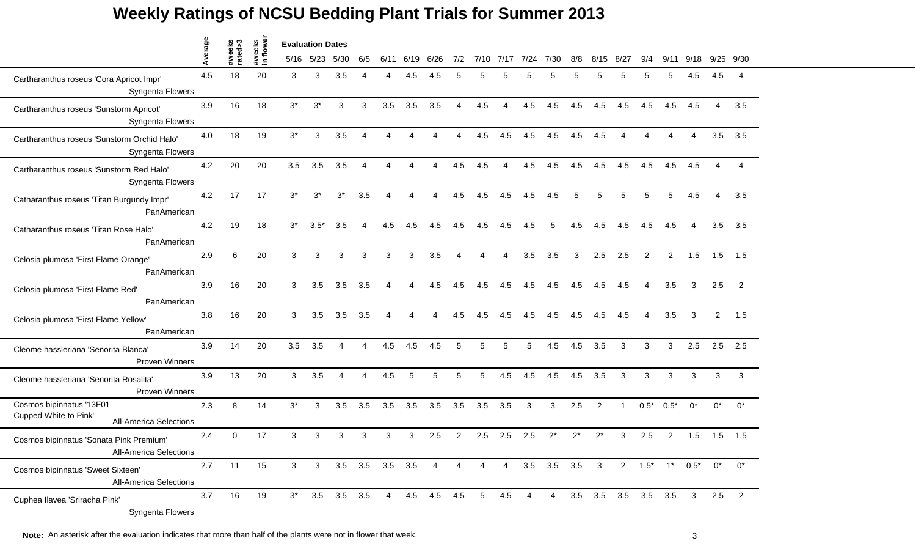|                                                                                    | Average |                   |                    | <b>Evaluation Dates</b> |              |                |                |                 |             |      |     |                        |                        |                        |                |       |                         |             |                          |                           |       |                |       |
|------------------------------------------------------------------------------------|---------|-------------------|--------------------|-------------------------|--------------|----------------|----------------|-----------------|-------------|------|-----|------------------------|------------------------|------------------------|----------------|-------|-------------------------|-------------|--------------------------|---------------------------|-------|----------------|-------|
|                                                                                    |         | #weeks<br>rated>3 | #weeks<br>in flowe |                         | 5/16 5/23    | 5/30           | 6/5            | 6/11            | 6/19        | 6/26 | 7/2 | 7/10                   | 7/17                   | 7/24                   | 7/30           | 8/8   | 8/15                    | 8/27        | 9/4                      | 9/11                      | 9/18  | 9/25           | 9/30  |
| Cartharanthus roseus 'Cora Apricot Impr'<br>Syngenta Flowers                       | 4.5     | 18                | 20                 | 3                       | 3            | 3.5            |                |                 | 4.5         | 4.5  | 5   | 5                      |                        |                        | 5              |       | 5                       |             |                          | 5                         | 4.5   | 4.5            | -4    |
| Cartharanthus roseus 'Sunstorm Apricot'<br>Syngenta Flowers                        | 3.9     | 16                | 18                 | $3^*$                   | $3^*$        | 3              | 3              | 3.5             | 3.5         | 3.5  | Δ   | 4.5                    | $\Delta$               | 4.5                    | 4.5            | 4.5   | 4.5                     | 4.5         | 4.5                      | 4.5                       | 4.5   | $\overline{4}$ | 3.5   |
| Cartharanthus roseus 'Sunstorm Orchid Halo'<br>Syngenta Flowers                    | 4.0     | 18                | 19                 | $3^*$                   | 3            | 3.5            | Δ              | Δ               | $\lambda$   |      | Δ   | 4.5                    | 4.5                    | 4.5                    | 4.5            | 4.5   | 4.5                     |             | $\Lambda$                | Δ                         | Δ     | 3.5            | 3.5   |
| Cartharanthus roseus 'Sunstorm Red Halo'<br>Syngenta Flowers                       | 4.2     | 20                | 20                 | 3.5                     | 3.5          | 3.5            | Δ              | Δ               | Δ           |      | 4.5 | 4.5                    | $\boldsymbol{\Lambda}$ | 4.5                    | 4.5            | 4.5   | 4.5                     | 4.5         | 4.5                      | 4.5                       | 4.5   |                |       |
| Catharanthus roseus 'Titan Burgundy Impr'<br>PanAmerican                           | 4.2     | 17                | 17                 | $3^*$                   | $3^*$        | $3^*$          | 3.5            |                 |             |      | 4.5 | 4.5                    | 4.5                    | 4.5                    | 4.5            | 5     | 5                       | 5           | 5                        | 5.                        | 4.5   |                | 3.5   |
| Catharanthus roseus 'Titan Rose Halo'<br>PanAmerican                               | 4.2     | 19                | 18                 | $3^*$                   | $3.5*$       | 3.5            | $\overline{4}$ | 4.5             | 4.5         | 4.5  | 4.5 | 4.5                    | 4.5                    | 4.5                    | 5              | 4.5   | 4.5                     | 4.5         | 4.5                      | 4.5                       | 4     | 3.5            | 3.5   |
| Celosia plumosa 'First Flame Orange'<br>PanAmerican                                | 2.9     | 6                 | 20                 | 3                       | 3            | 3              | 3              | 3               | 3           | 3.5  | Δ   | $\boldsymbol{\Lambda}$ | 4                      | 3.5                    | 3.5            | 3     | 2.5                     | 2.5         | 2                        | $\overline{2}$            | 1.5   | 1.5            | 1.5   |
| Celosia plumosa 'First Flame Red'<br>PanAmerican                                   | 3.9     | 16                | 20                 | 3                       | 3.5          | 3.5            | 3.5            | 4               | 4           | 4.5  | 4.5 | 4.5                    | 4.5                    | 4.5                    | 4.5            | 4.5   | 4.5                     | 4.5         | $\boldsymbol{\varDelta}$ | 3.5                       | 3     | 2.5            | 2     |
| Celosia plumosa 'First Flame Yellow'<br>PanAmerican                                | 3.8     | 16                | 20                 | 3                       | 3.5          | 3.5            | 3.5            |                 |             |      | 4.5 | 4.5                    | 4.5                    | 4.5                    | 4.5            | 4.5   | 4.5                     | 4.5         |                          | 3.5                       | 3     | 2              | 1.5   |
| Cleome hassleriana 'Senorita Blanca'<br>Proven Winners                             | 3.9     | 14                | 20                 | 3.5                     | 3.5          | $\overline{A}$ | Δ              | 4.5             | 4.5         | 4.5  | 5   | 5                      | 5                      | 5                      | 4.5            | 4.5   | 3.5                     | 3           | 3                        | 3                         | 2.5   | 2.5            | 2.5   |
| Cleome hassleriana 'Senorita Rosalita'<br>Proven Winners                           | 3.9     | 13                | 20                 | 3                       | 3.5          | $\overline{4}$ | $\Delta$       | 4.5             | 5           | 5    | 5   | 5                      | 4.5                    | 4.5                    | 4.5            | 4.5   | 3.5                     | 3           | 3                        | 3                         | 3     | 3              | 3     |
| Cosmos bipinnatus '13F01<br>Cupped White to Pink'<br><b>All-America Selections</b> | 2.3     | 8                 | 14                 | $3^*$                   | 3            | 3.5            | 3.5            | 3.5             | 3.5         | 3.5  | 3.5 | 3.5                    | 3.5                    | 3                      | 3              | 2.5   | $\overline{2}$          | -1          | $0.5*$                   | $0.5*$                    | $0^*$ | $0^*$          | $0^*$ |
| Cosmos bipinnatus 'Sonata Pink Premium'<br>All-America Selections                  | 2.4     | ∩                 | 17                 | 3                       | 3            | 3              | 3              | 3               | 3           | 2.5  | 2   | 2.5                    | 2.5                    | 2.5                    | $2^*$          | $2^*$ | $2^{\star}$             | 3           | 2.5                      | 2                         | 1.5   | 1.5            | 1.5   |
| Cosmos bipinnatus 'Sweet Sixteen'<br><b>All-America Selections</b>                 | 2.7     | 11                | 15                 | 3                       | $\mathbf{3}$ |                |                | 3.5 3.5 3.5 3.5 |             | 4    | 4   | 4                      | $\overline{4}$         |                        | $3.5\quad 3.5$ | 3.5   | $\overline{\mathbf{3}}$ |             |                          | $2 \t1.5^* \t1^* \t0.5^*$ |       | $0^*$          | $0^*$ |
| Cuphea Ilavea 'Sriracha Pink'<br>Syngenta Flowers                                  | 3.7     | 16                | 19                 | $3^*$                   | 3.5          | $3.5$ $3.5$    |                | 4               | $4.5$ $4.5$ |      | 4.5 | 5                      | 4.5                    | $\boldsymbol{\Lambda}$ | 4              | 3.5   |                         | 3.5 3.5 3.5 |                          | 3.5                       | 3     | 2.5            | 2     |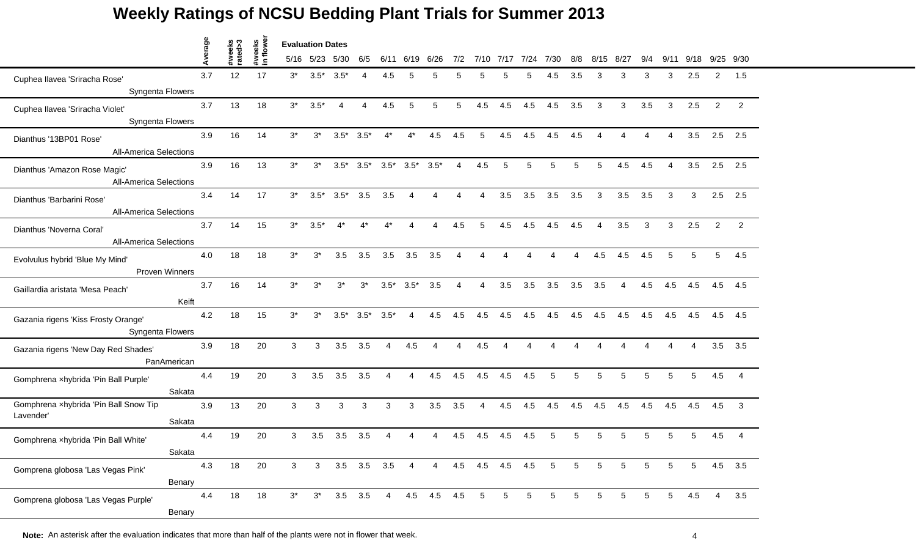|                                                         | rage           |                   |                     |       | <b>Evaluation Dates</b> |             |                   |                        |                        |                |                        |                 |                |      |      |                 |                          |      |                |                |                        |                |                |
|---------------------------------------------------------|----------------|-------------------|---------------------|-------|-------------------------|-------------|-------------------|------------------------|------------------------|----------------|------------------------|-----------------|----------------|------|------|-----------------|--------------------------|------|----------------|----------------|------------------------|----------------|----------------|
|                                                         | ⋖              | #weeks<br>rated>3 | #weeks<br>in flower |       | 5/16 5/23               | 5/30        | 6/5               | 6/11                   | 6/19                   | 6/26           | 7/2                    | 7/10            | 7/17           | 7/24 | 7/30 | 8/8             | 8/15                     | 8/27 | 9/4            | 9/11           | 9/18                   | 9/25 9/30      |                |
| Cuphea Ilavea 'Sriracha Rose'                           | 3.7            | 12                | 17                  | $3^*$ | $3.5*$                  | $3.5*$      |                   | 4.5                    | 5                      |                |                        |                 |                | 5    | 4.5  | 3.5             | 3                        | 3    | 3              | 3              | 2.5                    | $\overline{2}$ | 1.5            |
| Syngenta Flowers                                        |                |                   |                     |       |                         |             |                   |                        |                        |                |                        |                 |                |      |      |                 |                          |      |                |                |                        |                |                |
| Cuphea Ilavea 'Sriracha Violet'                         | 3.7            | 13                | 18                  | $3^*$ | $3.5*$                  | 4           | 4                 | 4.5                    | 5                      | 5              | 5                      | 4.5             | 4.5            | 4.5  | 4.5  | 3.5             | 3                        | 3    | 3.5            | 3              | 2.5                    | $\overline{2}$ | 2              |
| Syngenta Flowers                                        |                |                   |                     |       |                         |             |                   |                        |                        |                |                        |                 |                |      |      |                 |                          |      |                |                |                        |                |                |
| Dianthus '13BP01 Rose'                                  | 3.9            | 16                | 14                  | $3^*$ | $3^*$                   | $3.5*$      | $3.5*$            | $4^*$                  | $4^*$                  | 4.5            | 4.5                    | 5               | 4.5            | 4.5  | 4.5  | 4.5             | $\boldsymbol{\varDelta}$ | Δ    | $\overline{4}$ | $\overline{4}$ | 3.5                    | 2.5            | 2.5            |
| <b>All-America Selections</b>                           |                |                   |                     |       |                         |             |                   |                        |                        |                |                        |                 |                |      |      |                 |                          |      |                |                |                        |                |                |
| Dianthus 'Amazon Rose Magic'                            | 3.9            | 16                | 13                  | $3^*$ | $3^*$                   | $3.5*$      | $3.5*$            |                        | $3.5^*$ $3.5^*$        | $3.5*$         | $\overline{4}$         | 4.5             | 5              | 5    | 5    | 5               | 5                        | 4.5  | 4.5            | 4              | 3.5                    | 2.5            | 2.5            |
| <b>All-America Selections</b>                           |                |                   |                     |       |                         |             |                   |                        |                        |                |                        |                 |                |      |      |                 |                          |      |                |                |                        |                |                |
| Dianthus 'Barbarini Rose'                               | 3.4            | 14                | 17                  | $3^*$ | $3.5*$                  | $3.5*$      | 3.5               | 3.5                    | Δ                      |                |                        |                 | 3.5            | 3.5  | 3.5  | 3.5             | 3                        | 3.5  | 3.5            | 3              | 3                      | 2.5            | 2.5            |
| <b>All-America Selections</b>                           |                |                   |                     |       |                         |             |                   |                        |                        |                |                        |                 |                |      |      |                 |                          |      |                |                |                        |                |                |
| Dianthus 'Noverna Coral'                                | 3.7            | 14                | 15                  | $3^*$ | $3.5*$                  | $4^*$       | $4^*$             | $4^*$                  | $\boldsymbol{\Lambda}$ | 4              | 4.5                    | 5               | 4.5            | 4.5  | 4.5  | 4.5             | $\overline{4}$           | 3.5  | 3              | 3              | 2.5                    | $\overline{2}$ | 2              |
| <b>All-America Selections</b>                           |                |                   |                     |       |                         |             |                   |                        |                        |                |                        |                 |                |      |      |                 |                          |      |                |                |                        |                |                |
| Evolvulus hybrid 'Blue My Mind'                         | 4.0            | 18                | 18                  | $3^*$ | $3^*$                   | 3.5         | 3.5               | 3.5                    | 3.5                    | 3.5            | $\overline{4}$         | 4               | $\overline{A}$ | 4    | 4    | $\Delta$        | 4.5                      | 4.5  | 4.5            | 5              | 5                      | 5              | 4.5            |
|                                                         | Proven Winners |                   |                     |       |                         |             |                   |                        |                        |                |                        |                 |                |      |      |                 |                          |      |                |                |                        |                |                |
| Gaillardia aristata 'Mesa Peach'                        | 3.7            | 16                | 14                  | $3^*$ | $3^*$                   | $3^*$       | $3^*$             | $3.5^*$ $3.5^*$        |                        | 3.5            | 4                      | 4               | 3.5            | 3.5  | 3.5  | 3.5             | 3.5                      | 4    | 4.5            | 4.5            | 4.5                    | 4.5            | 4.5            |
|                                                         | Keift          |                   |                     |       |                         |             |                   |                        |                        |                |                        |                 |                |      |      |                 |                          |      |                |                |                        |                |                |
| Gazania rigens 'Kiss Frosty Orange'<br>Syngenta Flowers | 4.2            | 18                | 15                  | $3^*$ | $3^*$                   | $3.5*$      | $3.5*$            | $3.5*$                 | Δ                      | 4.5            | 4.5                    | 4.5             | 4.5            | 4.5  | 4.5  | 4.5             | 4.5                      | 4.5  | 4.5            | 4.5            | 4.5                    | 4.5            | 4.5            |
|                                                         | 3.9            | 18                | 20                  | 3     | 3                       | 3.5         | 3.5               | $\boldsymbol{\Lambda}$ | 4.5                    | 4              | $\boldsymbol{\Lambda}$ | 4.5             | $\Delta$       | 4    |      |                 |                          |      |                |                | $\boldsymbol{\Lambda}$ | 3.5            | 3.5            |
| Gazania rigens 'New Day Red Shades'                     | PanAmerican    |                   |                     |       |                         |             |                   |                        |                        |                |                        |                 |                |      |      |                 |                          |      |                |                |                        |                |                |
| Gomphrena xhybrida 'Pin Ball Purple'                    | 4.4            | 19                | 20                  | 3     | 3.5                     | 3.5         | 3.5               | $\overline{4}$         | 4                      | 4.5            | 4.5                    | 4.5             | 4.5            | 4.5  | 5    | 5               | 5                        | 5    | 5              | 5              | 5                      | 4.5            | $\overline{4}$ |
|                                                         | Sakata         |                   |                     |       |                         |             |                   |                        |                        |                |                        |                 |                |      |      |                 |                          |      |                |                |                        |                |                |
| Gomphrena xhybrida 'Pin Ball Snow Tip                   | 3.9            | 13                | 20                  | 3     | 3                       | 3           | 3                 | $\mathbf{3}$           | 3                      | 3.5            | 3.5                    | 4               | 4.5            | 4.5  | 4.5  | 4.5             | 4.5                      | 4.5  | 4.5            | 4.5            | 4.5                    | 4.5            | 3              |
| Lavender'                                               | Sakata         |                   |                     |       |                         |             |                   |                        |                        |                |                        |                 |                |      |      |                 |                          |      |                |                |                        |                |                |
| Gomphrena xhybrida 'Pin Ball White'                     | 4.4            | 19                | 20                  | 3     | 3.5                     | 3.5         | 3.5               |                        |                        |                | 4.5                    | 4.5             | 4.5            | 4.5  |      | 5               | 5                        | 5    | 5              |                | 5                      | 4.5            |                |
|                                                         | Sakata         |                   |                     |       |                         |             |                   |                        |                        |                |                        |                 |                |      |      |                 |                          |      |                |                |                        |                |                |
| Gomprena globosa 'Las Vegas Pink'                       | 4.3            | 18                | 20                  | 3     | 3                       |             | $3.5$ $3.5$ $3.5$ |                        | $\overline{4}$         | $\overline{4}$ |                        | 4.5 4.5 4.5 4.5 |                |      | 5    | $5\overline{)}$ | $5\overline{)}$          | 5    | 5              | 5              | 5                      |                | $4.5$ $3.5$    |
|                                                         | Benary         |                   |                     |       |                         |             |                   |                        |                        |                |                        |                 |                |      |      |                 |                          |      |                |                |                        |                |                |
| Gomprena globosa 'Las Vegas Purple'                     | 4.4            | 18                | 18                  | $3^*$ | $3^*$                   | $3.5$ $3.5$ |                   | $\overline{4}$         |                        | 4.5 4.5 4.5    |                        | $5\overline{)}$ | 5              | 5    | 5    | 5               | 5                        | 5    | 5              | 5 <sup>5</sup> | 4.5                    | $\overline{4}$ | 3.5            |
|                                                         | Benary         |                   |                     |       |                         |             |                   |                        |                        |                |                        |                 |                |      |      |                 |                          |      |                |                |                        |                |                |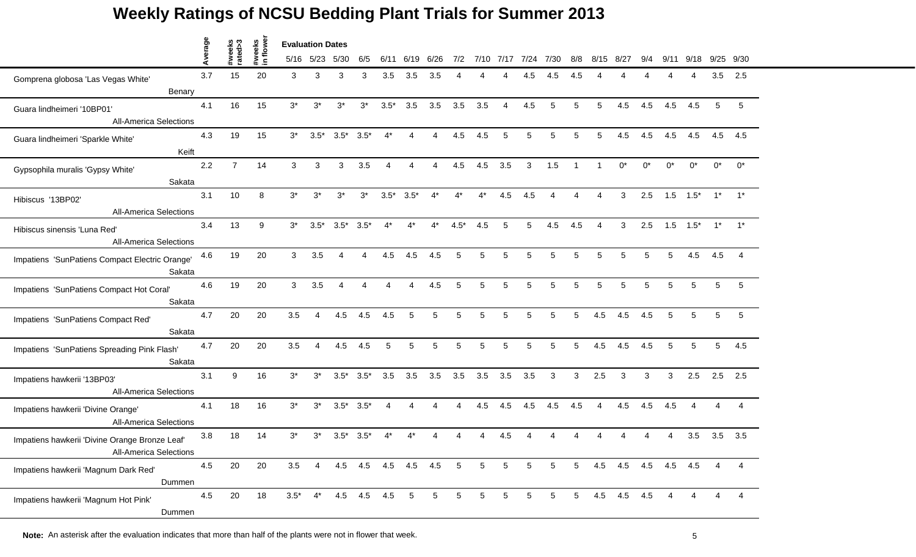|                                                | ā   |                   |                    | <b>Evaluation Dates</b> |                |                 |                     |                          |                 |                 |                 |                 |                 |           |                 |                 |                        |                     |       |       |        |       |               |
|------------------------------------------------|-----|-------------------|--------------------|-------------------------|----------------|-----------------|---------------------|--------------------------|-----------------|-----------------|-----------------|-----------------|-----------------|-----------|-----------------|-----------------|------------------------|---------------------|-------|-------|--------|-------|---------------|
|                                                | ⋖   | #weeks<br>rated>3 | #weeks<br>in flowe |                         | 5/16 5/23      | 5/30            | 6/5                 | 6/11                     | 6/19            | 6/26            | 7/2             |                 | 7/10 7/17       | 7/24 7/30 |                 | 8/8             | 8/15                   | -8/27               | 9/4   | 9/11  | 9/18   |       | $9/25$ $9/30$ |
| Gomprena globosa 'Las Vegas White'             | 3.7 | 15                | 20                 | 3                       | 3              | 3               |                     | 3.5                      | 3.5             | 3.5             |                 |                 |                 |           | 4.5             | 4.5             |                        |                     |       |       |        | 3.5   | 2.5           |
| Benary                                         |     |                   |                    |                         |                |                 |                     |                          |                 |                 |                 |                 |                 |           |                 |                 |                        |                     |       |       |        |       |               |
| Guara lindheimeri '10BP01'                     | 4.1 | 16                | 15                 | $3^*$                   | $3^*$          | $3^*$           | $3^*$               | $3.5*$                   | 3.5             | 3.5             | 3.5             | 3.5             | $\overline{A}$  | 4.5       | 5               | 5               | 5                      | 4.5                 | 4.5   | 4.5   | 4.5    | 5     | 5             |
| <b>All-America Selections</b>                  |     |                   |                    |                         |                |                 |                     |                          |                 |                 |                 |                 |                 |           |                 |                 |                        |                     |       |       |        |       |               |
| Guara lindheimeri 'Sparkle White'              | 4.3 | 19                | 15                 | $3^*$                   | $3.5*$         | $3.5^*$ $3.5^*$ |                     | $4^*$                    | 4               | 4               | 4.5             | 4.5             | 5               | 5         | 5               | 5               | 5                      | 4.5                 | 4.5   | 4.5   | 4.5    | 4.5   | 4.5           |
| Keift                                          |     |                   |                    |                         |                |                 |                     |                          |                 |                 |                 |                 |                 |           |                 |                 |                        |                     |       |       |        |       |               |
| Gypsophila muralis 'Gypsy White'               | 2.2 | $\overline{7}$    | 14                 | 3                       | 3              | 3               | 3.5                 | $\boldsymbol{\varDelta}$ | Δ               | 4               | 4.5             | 4.5             | 3.5             | 3         | 1.5             | $\overline{1}$  |                        | $0^*$               | $0^*$ | $0^*$ | $0^*$  | $0^*$ | $0^*$         |
| Sakata                                         |     |                   |                    |                         |                |                 |                     |                          |                 |                 |                 |                 |                 |           |                 |                 |                        |                     |       |       |        |       |               |
| Hibiscus '13BP02'                              | 3.1 | 10                | 8                  | $3^*$                   | $3^*$          | $3^*$           | $3^*$               | $3.5*$                   | $3.5*$          |                 | 4*              | 4*              | 4.5             | 4.5       |                 |                 |                        | 3                   | 2.5   | 1.5   | $1.5*$ | $1^*$ |               |
| <b>All-America Selections</b>                  |     |                   |                    |                         |                |                 |                     |                          |                 |                 |                 |                 |                 |           |                 |                 |                        |                     |       |       |        |       |               |
| Hibiscus sinensis 'Luna Red'                   | 3.4 | 13                | 9                  | $3^*$                   | $3.5*$         | $3.5*$          | $3.5*$              | $4^*$                    | $4^*$           | $4^*$           | $4.5*$          | 4.5             | 5               | 5         | 4.5             | 4.5             | $\boldsymbol{\Lambda}$ | 3                   | 2.5   | 1.5   | $1.5*$ | $1^*$ | $1^*$         |
| <b>All-America Selections</b>                  |     |                   |                    |                         |                |                 |                     |                          |                 |                 |                 |                 |                 |           |                 |                 |                        |                     |       |       |        |       |               |
| Impatiens 'SunPatiens Compact Electric Orange' | 4.6 | 19                | 20                 | 3                       | 3.5            | 4               | 4                   | 4.5                      | 4.5             | 4.5             | 5               | 5               | 5               | 5         | 5               | 5               | 5                      | 5                   | 5     | 5     | 4.5    | 4.5   |               |
| Sakata                                         |     |                   |                    |                         |                |                 |                     |                          |                 |                 |                 |                 |                 |           |                 |                 |                        |                     |       |       |        |       |               |
| Impatiens 'SunPatiens Compact Hot Coral'       | 4.6 | 19                | 20                 | 3                       | 3.5            | 4               |                     | $\boldsymbol{\varDelta}$ | Δ               | 4.5             | 5               | 5               | 5               | 5         | 5               | 5               | 5                      | 5                   | 5     | 5     | 5      | 5     | 5             |
| Sakata                                         |     |                   |                    |                         |                |                 |                     |                          |                 |                 |                 |                 |                 |           |                 |                 |                        |                     |       |       |        |       |               |
| Impatiens 'SunPatiens Compact Red'             | 4.7 | 20                | 20                 | 3.5                     | $\Delta$       | 4.5             | 4.5                 | 4.5                      | 5               | 5               | 5               | 5               | 5               | 5         |                 | 5               | 4.5                    | 4.5                 | 4.5   |       | 5      | 5     | 5             |
| Sakata                                         |     |                   |                    |                         |                |                 |                     |                          |                 |                 |                 |                 |                 |           |                 |                 |                        |                     |       |       |        |       |               |
| Impatiens 'SunPatiens Spreading Pink Flash'    | 4.7 | 20                | 20                 | 3.5                     | $\overline{4}$ | 4.5             | 4.5                 | 5                        | 5               | 5               | 5               | 5               | 5               | 5         | 5               | 5               | 4.5                    | 4.5                 | 4.5   | 5     | 5      | 5     | 4.5           |
| Sakata                                         |     |                   |                    |                         |                |                 |                     |                          |                 |                 |                 |                 |                 |           |                 |                 |                        |                     |       |       |        |       |               |
| Impatiens hawkerii '13BP03'                    | 3.1 | 9                 | 16                 | $3^*$                   | $3^*$          | $3.5^*$ $3.5^*$ |                     | 3.5                      | 3.5             | 3.5             | 3.5             | 3.5             | 3.5             | 3.5       | 3               | 3               | 2.5                    | 3                   | 3     | 3     | 2.5    |       | $2.5$ 2.5     |
| <b>All-America Selections</b>                  |     |                   |                    |                         |                |                 |                     |                          |                 |                 |                 |                 |                 |           |                 |                 |                        |                     |       |       |        |       |               |
| Impatiens hawkerii 'Divine Orange'             | 4.1 | 18                | 16                 | $3^*$                   | $3^*$          | $3.5*$          | $3.5*$              | Δ                        | Δ               |                 | Δ               | 4.5             | 4.5             | 4.5       | 4.5             | 4.5             | $\overline{A}$         | 4.5                 | 4.5   | 4.5   |        |       |               |
| <b>All-America Selections</b>                  |     |                   |                    |                         |                |                 |                     |                          |                 |                 |                 |                 |                 |           |                 |                 |                        |                     |       |       |        |       |               |
| Impatiens hawkerii 'Divine Orange Bronze Leaf' | 3.8 | 18                | 14                 | $3^*$                   | 3*             | $3.5*$          | $3.5*$              |                          |                 |                 |                 |                 | 4.5             |           |                 |                 |                        |                     |       |       | 3.5    | 3.5   | 3.5           |
| <b>All-America Selections</b>                  |     |                   |                    |                         |                |                 |                     |                          |                 |                 |                 |                 |                 |           |                 |                 |                        |                     |       |       |        |       |               |
| Impatiens hawkerii 'Magnum Dark Red'           | 4.5 | 20                | 20                 | 3.5                     | $\overline{4}$ |                 | 4.5 4.5 4.5 4.5 4.5 |                          |                 |                 | 5               | $5\phantom{.0}$ | $5\phantom{.0}$ | 5         | $5\overline{)}$ | $5\overline{)}$ |                        | 4.5 4.5 4.5 4.5 4.5 |       |       |        | 4     |               |
| Dummen                                         |     |                   |                    |                         |                |                 |                     |                          |                 |                 |                 |                 |                 |           |                 |                 |                        |                     |       |       |        |       |               |
| Impatiens hawkerii 'Magnum Hot Pink'           | 4.5 | 20                | 18                 | $3.5*$                  | $4^*$          |                 | 4.5 4.5 4.5         |                          | $5\phantom{.0}$ | $5\overline{)}$ | $5\phantom{.0}$ | $5\overline{)}$ | 5               | 5         | 5 <sup>5</sup>  | $5\overline{)}$ |                        | 4.5 4.5 4.5         |       |       |        |       |               |
| Dummen                                         |     |                   |                    |                         |                |                 |                     |                          |                 |                 |                 |                 |                 |           |                 |                 |                        |                     |       |       |        |       |               |

**Note:** An asterisk after the evaluation indicates that more than half of the plants were not in flower that week. 55 the state of the plants were not in flower that week.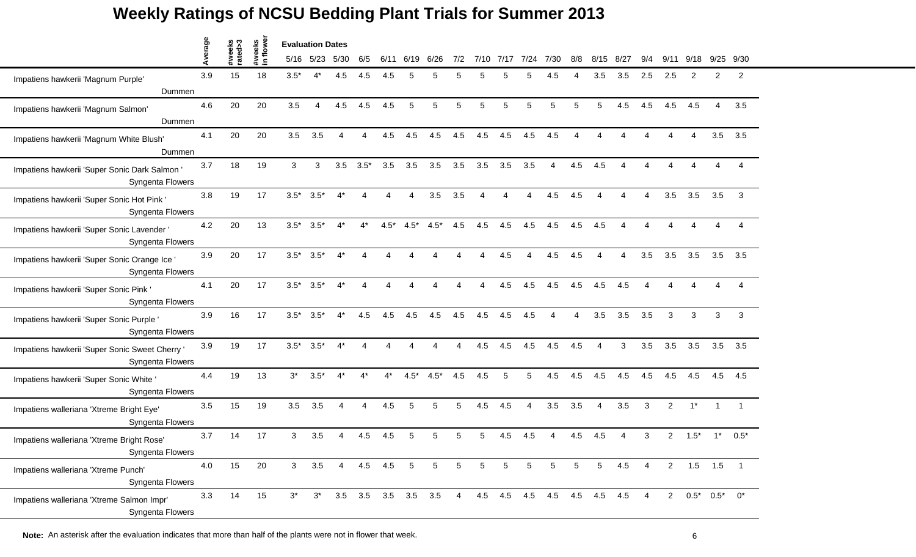|                                                                    | verage |                   |                     | <b>Evaluation Dates</b> |           |       |                |        |                   |        |                |      |      |                             |      |     |                |      |                |                |        |                       |                |
|--------------------------------------------------------------------|--------|-------------------|---------------------|-------------------------|-----------|-------|----------------|--------|-------------------|--------|----------------|------|------|-----------------------------|------|-----|----------------|------|----------------|----------------|--------|-----------------------|----------------|
|                                                                    | ∢      | #weeks<br>rated>3 | #weeks<br>in flower |                         | 5/16 5/23 | 5/30  | 6/5            | 6/11   | 6/19              | 6/26   | 7/2            | 7/10 | 7/17 | 7/24                        | 7/30 | 8/8 | 8/15           | 8/27 | 9/4            | 9/             | 9/18   |                       | 9/25 9/30      |
| Impatiens hawkerii 'Magnum Purple'                                 | 3.9    | 15                | 18                  | $3.5*$                  | $4^*$     | 4.5   | 4.5            | 4.5    | 5                 |        | 5              | 5    |      | 5                           | 4.5  |     | 3.5            | 3.5  | 2.5            | 2.5            | 2      | 2                     | $\overline{2}$ |
| Dummen                                                             |        |                   |                     |                         |           |       |                |        |                   |        |                |      |      |                             |      |     |                |      |                |                |        |                       |                |
| Impatiens hawkerii 'Magnum Salmon'<br>Dummen                       | 4.6    | 20                | 20                  | 3.5                     | Δ         | 4.5   | 4.5            | 4.5    | 5                 | 5      | 5              | 5    | 5    | 5                           | 5    | 5   | 5              | 4.5  | 4.5            | 4.5            | 4.5    | $\overline{4}$        | 3.5            |
| Impatiens hawkerii 'Magnum White Blush'<br>Dummen                  | 4.1    | 20                | 20                  | 3.5                     | 3.5       | Δ     | Δ              | 4.5    | 4.5               | 4.5    | 4.5            | 4.5  | 4.5  | 4.5                         | 4.5  | Δ   |                |      |                | Δ              | Δ      | 3.5                   | 3.5            |
| Impatiens hawkerii 'Super Sonic Dark Salmon '<br>Syngenta Flowers  | 3.7    | 18                | 19                  | 3                       | 3         | 3.5   | $3.5*$         | 3.5    | 3.5               | 3.5    | 3.5            | 3.5  | 3.5  | 3.5                         | 4    | 4.5 | 4.5            |      |                |                |        |                       |                |
| Impatiens hawkerii 'Super Sonic Hot Pink<br>Syngenta Flowers       | 3.8    | 19                | 17                  | $3.5*$                  | $3.5*$    | 4*    |                |        |                   | 3.5    | 3.5            | Δ    |      |                             | 4.5  | 4.5 |                |      |                | 3.5            | 3.5    | 3.5                   | 3              |
| Impatiens hawkerii 'Super Sonic Lavender '<br>Syngenta Flowers     | 4.2    | 20                | 13                  | $3.5*$                  | $3.5*$    | $4^*$ | 4*             | $4.5*$ | $4.5*$            | $4.5*$ | 4.5            | 4.5  | 4.5  | 4.5                         | 4.5  | 4.5 | 4.5            | Δ    | Δ              | Δ              |        | $\Delta$              |                |
| Impatiens hawkerii 'Super Sonic Orange Ice'<br>Syngenta Flowers    | 3.9    | 20                | 17                  | $3.5*$                  | $3.5*$    | $4^*$ | Δ              | Δ      |                   |        | Δ              | Δ    | 4.5  | $\boldsymbol{\Lambda}$      | 4.5  | 4.5 | Δ              | 4    | 3.5            | 3.5            | 3.5    | 3.5                   | 3.5            |
| Impatiens hawkerii 'Super Sonic Pink '<br>Syngenta Flowers         | 4.1    | 20                | 17                  | $3.5*$                  | $3.5*$    | $4^*$ | Δ              | Δ      |                   |        |                | Δ    | 4.5  | 4.5                         | 4.5  | 4.5 | 4.5            | 4.5  | Δ              |                |        |                       |                |
| Impatiens hawkerii 'Super Sonic Purple '<br>Syngenta Flowers       | 3.9    | 16                | 17                  | $3.5*$                  | $3.5*$    | $4^*$ | 4.5            | 4.5    | 4.5               | 4.5    | 4.5            | 4.5  | 4.5  | 4.5                         |      |     | 3.5            | 3.5  | 3.5            | 3              | 3      | 3                     | 3              |
| Impatiens hawkerii 'Super Sonic Sweet Cherry '<br>Syngenta Flowers | 3.9    | 19                | 17                  | $3.5*$                  | $3.5*$    | $4^*$ | Δ              | Δ      |                   |        | Δ              | 4.5  | 4.5  | 4.5                         | 4.5  | 4.5 | $\overline{4}$ | 3    | 3.5            | 3.5            | 3.5    | 3.5                   | 3.5            |
| Impatiens hawkerii 'Super Sonic White<br>Syngenta Flowers          | 4.4    | 19                | 13                  | $3^*$                   | $3.5*$    | $4^*$ | 4*             | $4^*$  | $4.5*$            | $4.5*$ | 4.5            | 4.5  | 5    | 5                           | 4.5  | 4.5 | 4.5            | 4.5  | 4.5            | 4.5            | 4.5    | 4.5                   | 4.5            |
| Impatiens walleriana 'Xtreme Bright Eye'<br>Syngenta Flowers       | 3.5    | 15                | 19                  | 3.5                     | 3.5       | 4     | Δ              | 4.5    | 5                 | 5      | 5              | 4.5  | 4.5  | 4                           | 3.5  | 3.5 | 4              | 3.5  | 3              | $\overline{c}$ | $1^*$  | $\mathbf 1$           |                |
| Impatiens walleriana 'Xtreme Bright Rose'<br>Syngenta Flowers      | 3.7    | 14                | 17                  | 3                       | 3.5       |       | 4.5            | 4.5    | 5                 |        | 5              | 5    | 4.5  | 4.5                         |      | 4.5 | 4.5            |      | 3              | 2              | $1.5*$ | $1^*$                 | $0.5*$         |
| Impatiens walleriana 'Xtreme Punch'<br>Syngenta Flowers            | 4.0    | 15                | 20                  | 3 <sup>1</sup>          | 3.5       | 4     | 4.5            | 4.5    | 5                 | 5      | 5              | 5    | 5    | 5                           | 5    | 5   | $\sqrt{5}$     | 4.5  | $\overline{4}$ | $2^{\circ}$    |        | $1.5$ 1.5             |                |
| Impatiens walleriana 'Xtreme Salmon Impr'<br>Syngenta Flowers      | 3.3    | 14                | 15                  | $3^*$                   | $3^*$     |       | $3.5\quad 3.5$ |        | $3.5$ $3.5$ $3.5$ |        | $\overline{4}$ |      |      | 4.5 4.5 4.5 4.5 4.5 4.5 4.5 |      |     |                |      |                | $2^{\circ}$    |        | $0.5^*$ $0.5^*$ $0^*$ |                |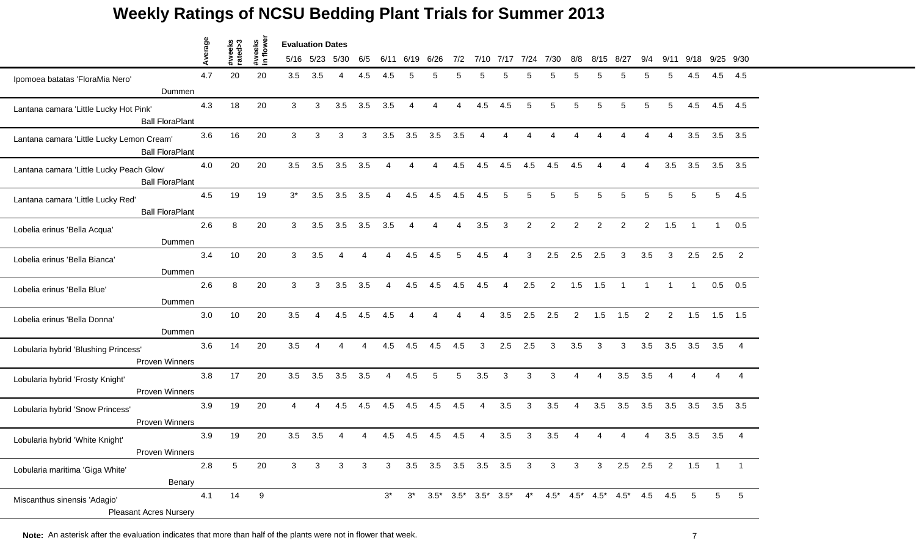|                                           | verage  |                   |                    | <b>Evaluation Dates</b> |                |                        |     |                |                        |                |                        |                       |                |                 |                |                |                |                                                                                         |                           |                |                 |                |                |
|-------------------------------------------|---------|-------------------|--------------------|-------------------------|----------------|------------------------|-----|----------------|------------------------|----------------|------------------------|-----------------------|----------------|-----------------|----------------|----------------|----------------|-----------------------------------------------------------------------------------------|---------------------------|----------------|-----------------|----------------|----------------|
|                                           | ⋖       | #weeks<br>rated>3 | #weeks<br>in flowe |                         | 5/16 5/23      | 5/30                   | 6/5 | 6/11           | 6/19                   | 6/26           | 7/2                    | 7/10                  | 7/17           | 7/24            | 7/30           | 8/8            | 8/15           | 8/27                                                                                    | 9/4                       | 9/11           | 9/18            |                | $9/25$ $9/30$  |
| Ipomoea batatas 'FloraMia Nero'           | 4.7     | 20                | 20                 | 3.5                     | 3.5            | $\boldsymbol{\Lambda}$ | 4.5 | 4.5            | 5                      |                | 5                      | 5                     |                | 5               | 5              | 5              | 5              |                                                                                         | 5                         | 5              | 4.5             | 4.5            | 4.5            |
| Dummen                                    |         |                   |                    |                         |                |                        |     |                |                        |                |                        |                       |                |                 |                |                |                |                                                                                         |                           |                |                 |                |                |
| Lantana camara 'Little Lucky Hot Pink'    | 4.3     | 18                | 20                 | 3                       | 3              | 3.5                    | 3.5 | 3.5            | $\overline{4}$         | $\overline{4}$ | $\overline{4}$         | 4.5                   | 4.5            | $5\phantom{.0}$ | 5              | 5              | 5              | 5                                                                                       | 5                         | 5              | 4.5             | 4.5            | 4.5            |
| <b>Ball FloraPlant</b>                    |         |                   |                    |                         |                |                        |     |                |                        |                |                        |                       |                |                 |                |                |                |                                                                                         |                           |                |                 |                |                |
| Lantana camara 'Little Lucky Lemon Cream' | 3.6     | 16                | 20                 | 3                       | 3              | 3                      | 3   | 3.5            | 3.5                    | 3.5            | 3.5                    | 4                     | Δ              | Δ               | Δ              |                |                |                                                                                         | $\boldsymbol{\varLambda}$ | 4              | 3.5             |                | $3.5$ $3.5$    |
| <b>Ball FloraPlant</b>                    |         |                   |                    |                         |                |                        |     |                |                        |                |                        |                       |                |                 |                |                |                |                                                                                         |                           |                |                 |                |                |
| Lantana camara 'Little Lucky Peach Glow'  | 4.0     | 20                | 20                 | 3.5                     | 3.5            | 3.5                    | 3.5 | Δ              | $\boldsymbol{\Lambda}$ | Δ              | 4.5                    | 4.5                   | 4.5            | 4.5             | 4.5            | 4.5            | Δ              |                                                                                         | Δ                         | 3.5            | 3.5             | 3.5            | 3.5            |
| <b>Ball FloraPlant</b>                    |         |                   |                    |                         |                |                        |     |                |                        |                |                        |                       |                |                 |                |                |                |                                                                                         |                           |                |                 |                |                |
| Lantana camara 'Little Lucky Red'         | 4.5     | 19                | 19                 | $3^*$                   | 3.5            | 3.5                    | 3.5 |                | 4.5                    | 4.5            | 4.5                    | 4.5                   |                | 5               | 5              | 5              | 5              |                                                                                         | 5                         | 5              | 5               | $\overline{5}$ | 4.5            |
| <b>Ball FloraPlant</b>                    |         |                   |                    |                         |                |                        |     |                |                        |                |                        |                       |                |                 |                |                |                |                                                                                         |                           |                |                 |                |                |
| Lobelia erinus 'Bella Acqua'              | 2.6     | 8                 | 20                 | 3                       | 3.5            | 3.5                    | 3.5 | 3.5            | $\overline{4}$         | $\overline{4}$ | $\boldsymbol{\Lambda}$ | 3.5                   | 3              | $\overline{2}$  | $\overline{2}$ | $\overline{2}$ | $\overline{c}$ | $\overline{2}$                                                                          | $\overline{2}$            | 1.5            | $\overline{1}$  | $\mathbf{1}$   | 0.5            |
| Dummen                                    |         |                   |                    |                         |                |                        |     |                |                        |                |                        |                       |                |                 |                |                |                |                                                                                         |                           |                |                 |                |                |
| Lobelia erinus 'Bella Bianca'             | 3.4     | 10                | 20                 | 3                       | 3.5            | $\overline{A}$         | 4   | 4              | 4.5                    | 4.5            | 5                      | 4.5                   | 4              | 3               | 2.5            | 2.5            | 2.5            | 3                                                                                       | 3.5                       | 3              | 2.5             | 2.5            | $\overline{2}$ |
| Dummen                                    |         |                   |                    |                         |                |                        |     |                |                        |                |                        |                       |                |                 |                |                |                |                                                                                         |                           |                |                 |                |                |
| Lobelia erinus 'Bella Blue'               | 2.6     | 8                 | 20                 | 3                       | 3              | 3.5                    | 3.5 | $\overline{4}$ | 4.5                    | 4.5            | 4.5                    | 4.5                   | $\overline{4}$ | 2.5             | $\overline{2}$ | 1.5            | 1.5            | $\mathbf{1}$                                                                            | $\overline{1}$            |                | $\mathbf{1}$    | 0.5            | 0.5            |
| Dummen                                    |         |                   |                    |                         |                |                        |     |                |                        |                |                        |                       |                |                 |                |                |                |                                                                                         |                           |                |                 |                |                |
| Lobelia erinus 'Bella Donna'              | 3.0     | 10                | 20                 | 3.5                     | $\Delta$       | 4.5                    | 4.5 | 4.5            | Δ                      |                |                        | Δ                     | 3.5            | 2.5             | 2.5            | $\overline{2}$ | 1.5            | 1.5                                                                                     | 2                         | $\overline{2}$ | 1.5             | 1.5            | 1.5            |
| Dummen                                    |         |                   |                    |                         |                |                        |     |                |                        |                |                        |                       |                |                 |                |                |                |                                                                                         |                           |                |                 |                |                |
| Lobularia hybrid 'Blushing Princess'      | 3.6     | 14                | 20                 | 3.5                     | 4              | $\boldsymbol{\Lambda}$ | 4   | 4.5            | 4.5                    | 4.5            | 4.5                    | 3                     | 2.5            | 2.5             | 3              | 3.5            | 3              | 3                                                                                       | 3.5                       | 3.5            | 3.5             | 3.5            | $\overline{4}$ |
| Proven Winners                            |         |                   |                    |                         |                |                        |     |                |                        |                |                        |                       |                |                 |                |                |                |                                                                                         |                           |                |                 |                |                |
| Lobularia hybrid 'Frosty Knight'          | 3.8     | 17                | 20                 | 3.5                     | 3.5            | 3.5                    | 3.5 | $\overline{4}$ | 4.5                    | 5              | 5                      | 3.5                   | 3              | 3               | 3              | 4              | $\overline{4}$ | 3.5                                                                                     | 3.5                       | 4              | Δ               | Δ              |                |
| Proven Winners                            |         |                   |                    |                         |                |                        |     |                |                        |                |                        |                       |                |                 |                |                |                |                                                                                         |                           |                |                 |                |                |
| Lobularia hybrid 'Snow Princess'          | 3.9     | 19                | 20                 | 4                       | Δ              | 4.5                    | 4.5 | 4.5            | 4.5                    | 4.5            | 4.5                    | 4                     | 3.5            | 3               | 3.5            | 4              | 3.5            | 3.5                                                                                     | 3.5                       | 3.5            | 3.5             | 3.5            | 3.5            |
| Proven Winners                            |         |                   |                    |                         |                |                        |     |                |                        |                |                        |                       |                |                 |                |                |                |                                                                                         |                           |                |                 |                |                |
| Lobularia hybrid 'White Knight'           | 3.9     | 19                | 20                 | 3.5                     | 3.5            |                        |     | 4.5            | 4.5                    | 4.5            | 4.5                    | Δ                     | 3.5            | 3               | 3.5            |                |                |                                                                                         |                           | 3.5            | 3.5             | 3.5            | $\overline{4}$ |
| Proven Winners                            |         |                   |                    |                         |                |                        |     |                |                        |                |                        |                       |                |                 |                |                |                |                                                                                         |                           |                |                 |                |                |
| Lobularia maritima 'Giga White'           | $2.8\,$ | $5\phantom{.0}$   | 20                 | 3                       | 3 <sup>1</sup> | $\mathbf{3}$           | 3   |                |                        |                |                        | 3 3.5 3.5 3.5 3.5 3.5 |                | 3               | $\mathbf{3}$   | 3 <sup>1</sup> | $\mathbf{3}$   | $2.5$ 2.5                                                                               |                           |                | $2 \qquad 1.5$  | $\mathbf{1}$   | $\mathbf{1}$   |
| Benary                                    |         |                   |                    |                         |                |                        |     |                |                        |                |                        |                       |                |                 |                |                |                |                                                                                         |                           |                |                 |                |                |
| Miscanthus sinensis 'Adagio'              | 4.1     | 14                | 9                  |                         |                |                        |     | $3^*$          | $3^*$                  |                |                        |                       |                |                 |                |                |                | $3.5^*$ $3.5^*$ $3.5^*$ $3.5^*$ $4^*$ $4.5^*$ $4.5^*$ $4.5^*$ $4.5^*$ $4.5$ $4.5$ $4.5$ |                           |                | $5\phantom{.0}$ | 5              | 5              |
| <b>Pleasant Acres Nursery</b>             |         |                   |                    |                         |                |                        |     |                |                        |                |                        |                       |                |                 |                |                |                |                                                                                         |                           |                |                 |                |                |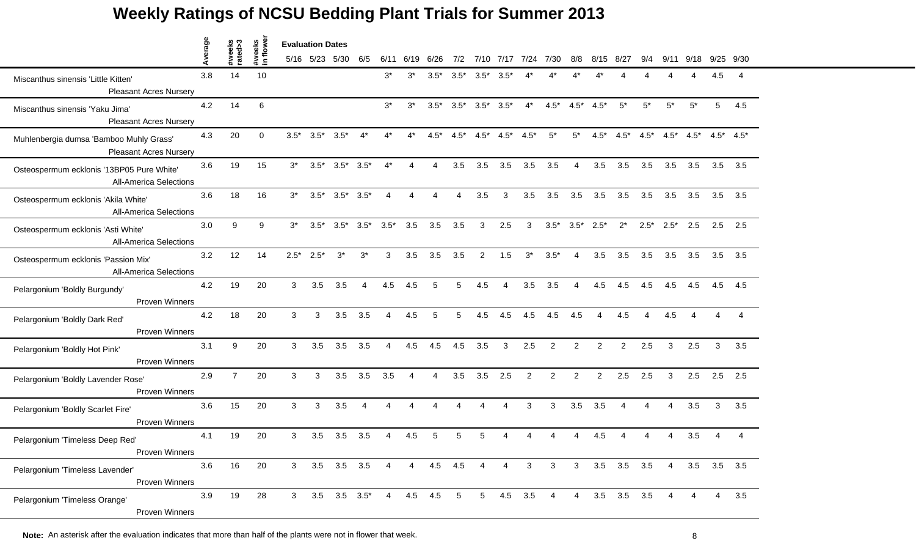|                                                                            | verage |                   |                    | <b>Evaluation Dates</b> |                |                     |                |                |                |                |        |                 |           |                |                |                |                |                   |                          |                |                         |           |                |
|----------------------------------------------------------------------------|--------|-------------------|--------------------|-------------------------|----------------|---------------------|----------------|----------------|----------------|----------------|--------|-----------------|-----------|----------------|----------------|----------------|----------------|-------------------|--------------------------|----------------|-------------------------|-----------|----------------|
|                                                                            | ⋖      | #weeks<br>rated>3 | #weeks<br>in flowe |                         | 5/16 5/23 5/30 |                     | 6/5            | 6/11           | 6/19           | 6/26           | 7/2    |                 | 7/10 7/17 | 7/24           | 7/30           | 8/8            | 8/15           | 8/27              | 9/4                      | 9/11           | 9/18                    | 9/25 9/30 |                |
| Miscanthus sinensis 'Little Kitten'<br><b>Pleasant Acres Nursery</b>       | 3.8    | 14                | 10                 |                         |                |                     |                | $3^*$          | $3^*$          | $3.5*$         | $3.5*$ | $3.5*$          | $3.5^*$   |                |                |                |                |                   |                          |                |                         | 4.5       | -4             |
| Miscanthus sinensis 'Yaku Jima'<br><b>Pleasant Acres Nursery</b>           | 4.2    | 14                | 6                  |                         |                |                     |                | $3^*$          | $3^*$          | $3.5*$         | $3.5*$ | $3.5^*$ $3.5^*$ |           | $4^*$          | $4.5*$         | $4.5*$         | $4.5*$         | $5^*$             | $5^*$                    | $5^*$          | $5^*$                   | 5         | 4.5            |
| Muhlenbergia dumsa 'Bamboo Muhly Grass'<br><b>Pleasant Acres Nursery</b>   | 4.3    | 20                | $\Omega$           | $3.5*$                  | $3.5*$         | $3.5*$              | $4^*$          | $4^*$          | 4*             | $4.5*$         | $4.5*$ | $4.5^*$         | $4.5*$    | $4.5*$         | $5^*$          | $5^*$          | $4.5*$         | $4.5^*$           | $4.5*$                   | $4.5^*$        | $4.5^*$ $4.5^*$ $4.5^*$ |           |                |
| Osteospermum ecklonis '13BP05 Pure White'<br><b>All-America Selections</b> | 3.6    | 19                | 15                 | $3^*$                   | $3.5*$         | $3.5^*$ $3.5^*$     |                | $4^*$          | 4              | 4              | 3.5    | 3.5             | 3.5       | 3.5            | 3.5            | $\overline{4}$ | 3.5            | 3.5               | 3.5                      | 3.5            | 3.5                     |           | $3.5\quad 3.5$ |
| Osteospermum ecklonis 'Akila White'<br><b>All-America Selections</b>       | 3.6    | 18                | 16                 | $3^*$                   | $3.5*$         | $3.5^*$ $3.5^*$     |                |                |                |                |        | 3.5             | 3         | 3.5            | 3.5            | 3.5            | 3.5            | 3.5               | 3.5                      | 3.5            | 3.5                     | 3.5       | 3.5            |
| Osteospermum ecklonis 'Asti White'<br><b>All-America Selections</b>        | 3.0    | 9                 | 9                  | $3^*$                   | $3.5*$         | $3.5^*$ $3.5^*$     |                | $3.5*$         | 3.5            | 3.5            | 3.5    | 3               | 2.5       | 3              | $3.5*$         | $3.5*$         | $2.5*$         | $2^*$             | $2.5*$                   | $2.5*$         | 2.5                     | 2.5       | 2.5            |
| Osteospermum ecklonis 'Passion Mix'<br><b>All-America Selections</b>       | 3.2    | 12                | 14                 | $2.5^*$                 | $2.5*$         | $3^*$               | $3^*$          | 3              | 3.5            | 3.5            | 3.5    | $\overline{2}$  | 1.5       | $3^*$          | $3.5*$         | 4              | 3.5            | 3.5               | 3.5                      | 3.5            | 3.5                     |           | $3.5\quad 3.5$ |
| Pelargonium 'Boldly Burgundy'<br><b>Proven Winners</b>                     | 4.2    | 19                | 20                 | 3                       | 3.5            | 3.5                 | $\overline{4}$ | 4.5            | 4.5            | 5              | 5      | 4.5             | 4         | 3.5            | 3.5            | 4              | 4.5            | 4.5               | 4.5                      | 4.5            | 4.5                     | 4.5       | 4.5            |
| Pelargonium 'Boldly Dark Red'<br>Proven Winners                            | 4.2    | 18                | 20                 | 3                       | 3              | 3.5                 | 3.5            |                | 4.5            | 5              | 5      | 4.5             | 4.5       | 4.5            | 4.5            | 4.5            | Δ              | 4.5               |                          | 4.5            |                         |           |                |
| Pelargonium 'Boldly Hot Pink'<br>Proven Winners                            | 3.1    | 9                 | 20                 | 3                       | 3.5            | 3.5                 | 3.5            | $\overline{4}$ | 4.5            | 4.5            | 4.5    | 3.5             | 3         | 2.5            | 2              | $\overline{2}$ | $\overline{2}$ | $\overline{2}$    | 2.5                      | 3              | 2.5                     | 3         | 3.5            |
| Pelargonium 'Boldly Lavender Rose'<br>Proven Winners                       | 2.9    | $\overline{7}$    | 20                 | 3                       | 3              | 3.5                 | 3.5            | 3.5            | $\overline{4}$ | $\overline{4}$ | 3.5    | 3.5             | 2.5       | $\overline{2}$ | $\overline{2}$ | $\overline{2}$ | $\overline{2}$ | 2.5               | 2.5                      | 3              | 2.5                     | 2.5       | 2.5            |
| Pelargonium 'Boldly Scarlet Fire'<br><b>Proven Winners</b>                 | 3.6    | 15                | 20                 | 3                       | 3              | 3.5                 | $\overline{4}$ | $\Delta$       | $\Delta$       |                |        | Δ               |           | 3              | 3              | 3.5            | 3.5            |                   | $\boldsymbol{\varDelta}$ | 4              | 3.5                     | 3         | 3.5            |
| Pelargonium 'Timeless Deep Red'<br>Proven Winners                          | 4.1    | 19                | 20                 | 3                       | 3.5            | 3.5                 | 3.5            | 4              | 4.5            | 5              | 5      | 5               |           |                |                |                | 4.5            |                   |                          |                | 3.5                     |           |                |
| Pelargonium 'Timeless Lavender'<br>Proven Winners                          | 3.6    | 16                | 20                 | 3                       |                | $3.5$ $3.5$ $3.5$   |                | $\overline{4}$ | $\overline{4}$ | 4.5 4.5        |        | 4               | 4         | 3              | $\mathbf{3}$   | 3 <sup>7</sup> |                | $3.5$ $3.5$ $3.5$ |                          | $\overline{4}$ | 3.5                     |           | $3.5\quad 3.5$ |
| Pelargonium 'Timeless Orange'<br>Proven Winners                            | 3.9    | 19                | 28                 | 3                       |                | $3.5$ $3.5$ $3.5^*$ |                |                | 4  4.5  4.5    |                | 5      | 5 <sub>5</sub>  |           | $4.5$ 3.5      | $\overline{4}$ | $\overline{4}$ |                | $3.5$ $3.5$ $3.5$ |                          |                | 4                       | 4         | 3.5            |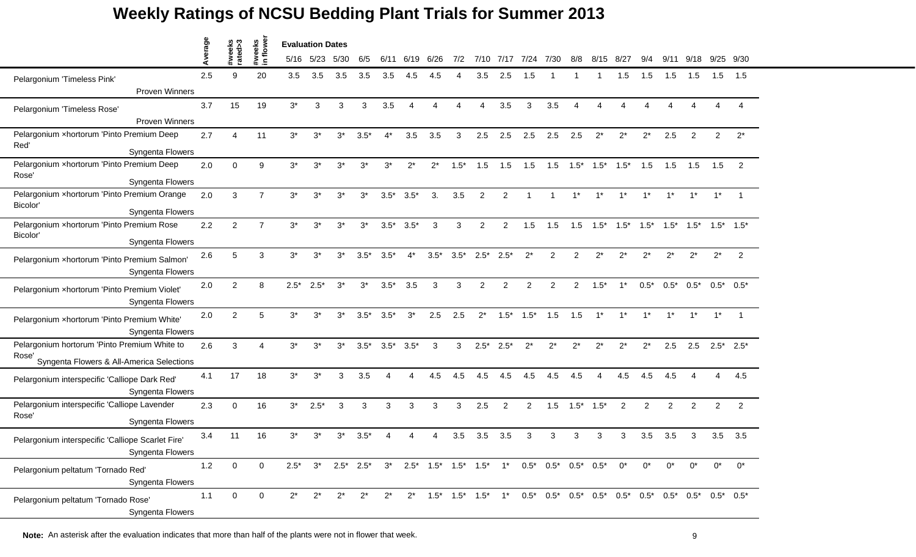|                                                                       | verage |                   |                          | <b>Evaluation Dates</b> |           |       |        |        |        |        |        |                |               |        |                                                                                                   |                |           |                         |                |                 |                |                        |                |
|-----------------------------------------------------------------------|--------|-------------------|--------------------------|-------------------------|-----------|-------|--------|--------|--------|--------|--------|----------------|---------------|--------|---------------------------------------------------------------------------------------------------|----------------|-----------|-------------------------|----------------|-----------------|----------------|------------------------|----------------|
|                                                                       | ∢      | #weeks<br>rated>3 | #weeks<br>in flowe       |                         | 5/16 5/23 | 5/30  | 6/5    | 6/11   | 6/19   | 6/26   | 7/2    |                | 7/10 7/17     | 7/24   | 7/30                                                                                              | 8/8            | 8/15 8/27 |                         | 9/4            | 9/11            | 9/18           | 9/25 9/30              |                |
| Pelargonium 'Timeless Pink'                                           | 2.5    | 9                 | 20                       | 3.5                     | 3.5       | 3.5   | 3.5    | 3.5    | 4.5    | 4.5    |        | 3.5            | 2.5           | 1.5    |                                                                                                   |                |           | 1.5                     | 1.5            | 1.5             | 1.5            | 1.5                    | 1.5            |
| <b>Proven Winners</b>                                                 |        |                   |                          |                         |           |       |        |        |        |        |        |                |               |        |                                                                                                   |                |           |                         |                |                 |                |                        |                |
| Pelargonium 'Timeless Rose'                                           | 3.7    | 15                | 19                       | $3^*$                   | 3         | 3     | 3      | 3.5    | Δ      |        |        | Λ              | 3.5           | 3      | 3.5                                                                                               | Δ              |           |                         |                |                 |                | $\boldsymbol{\Lambda}$ |                |
| <b>Proven Winners</b>                                                 |        |                   |                          |                         |           |       |        |        |        |        |        |                |               |        |                                                                                                   |                |           |                         |                |                 |                |                        |                |
| Pelargonium xhortorum 'Pinto Premium Deep                             | 2.7    | Δ                 | 11                       | $3^*$                   | $3^*$     | $3^*$ | $3.5*$ | $4^*$  | 3.5    | 3.5    | 3      | 2.5            | 2.5           | 2.5    | 2.5                                                                                               | 2.5            | $2^*$     | $2^*$                   | $2^*$          | 2.5             | 2              | 2                      | $2^*$          |
| Red'<br>Syngenta Flowers                                              |        |                   |                          |                         |           |       |        |        |        |        |        |                |               |        |                                                                                                   |                |           |                         |                |                 |                |                        |                |
| Pelargonium xhortorum 'Pinto Premium Deep                             | 2.0    | $\Omega$          | 9                        | $3^*$                   | $3^*$     | $3^*$ | $3^*$  | $3^*$  | $2^*$  | $2^*$  | $1.5*$ | 1.5            | 1.5           | 1.5    | 1.5                                                                                               |                |           | $1.5^*$ $1.5^*$ $1.5^*$ | 1.5            | 1.5             | 1.5            | 1.5                    | 2              |
| Rose'<br>Syngenta Flowers                                             |        |                   |                          |                         |           |       |        |        |        |        |        |                |               |        |                                                                                                   |                |           |                         |                |                 |                |                        |                |
| Pelargonium xhortorum 'Pinto Premium Orange                           | 2.0    | 3                 | 7                        | $3^*$                   | $3^*$     | $3^*$ | $3^*$  | $3.5*$ | $3.5*$ | 3.     | 3.5    | 2              | $\mathcal{P}$ |        |                                                                                                   |                |           |                         |                | $1^*$           | $1^*$          | $1^*$                  |                |
| Bicolor'<br>Syngenta Flowers                                          |        |                   |                          |                         |           |       |        |        |        |        |        |                |               |        |                                                                                                   |                |           |                         |                |                 |                |                        |                |
| Pelargonium xhortorum 'Pinto Premium Rose                             | 2.2    | $\overline{2}$    | $\overline{7}$           | $3^*$                   | $3^*$     | $3^*$ | $3^*$  | $3.5*$ | $3.5*$ | 3      | 3      | 2              | 2             | 1.5    | 1.5                                                                                               | 1.5            |           | $1.5^*$ $1.5^*$         | $1.5*$         | $1.5^*$ $1.5^*$ |                | $1.5^*$ $1.5^*$        |                |
| Bicolor'<br>Syngenta Flowers                                          |        |                   |                          |                         |           |       |        |        |        |        |        |                |               |        |                                                                                                   |                |           |                         |                |                 |                |                        |                |
| Pelargonium xhortorum 'Pinto Premium Salmon'                          | 2.6    | 5                 | 3                        | $3^*$                   | $3^*$     | $3^*$ | $3.5*$ | $3.5*$ | $4^*$  | $3.5*$ | $3.5*$ | $2.5*$         | $2.5*$        | $2^*$  | 2                                                                                                 | 2              | $2^*$     | $2^*$                   | $2^*$          | $2^*$           | $2^*$          | $2^*$                  | $\overline{2}$ |
| Syngenta Flowers                                                      | 2.0    | $\mathcal{P}$     | 8                        | $2.5*$                  | $2.5*$    | $3^*$ | $3^*$  | $3.5*$ | 3.5    | 3      | 3      | $\overline{2}$ | 2             | 2      | $\overline{2}$                                                                                    | $\overline{2}$ | $1.5*$    | $1^*$                   | $0.5*$         | $0.5*$          | $0.5*$         | $0.5^*$ 0.5*           |                |
| Pelargonium xhortorum 'Pinto Premium Violet'<br>Syngenta Flowers      |        |                   |                          |                         |           |       |        |        |        |        |        |                |               |        |                                                                                                   |                |           |                         |                |                 |                |                        |                |
| Pelargonium xhortorum 'Pinto Premium White'<br>Syngenta Flowers       | 2.0    | $\mathcal{P}$     | 5                        | $3^*$                   | $3^*$     | $3^*$ | $3.5*$ | $3.5*$ | $3^*$  | 2.5    | 2.5    | $2^*$          | $1.5*$        | $1.5*$ | 1.5                                                                                               | 1.5            | $1*$      |                         | $1*$           | $1*$            | $1^*$          | $1^*$                  |                |
| Pelargonium hortorum 'Pinto Premium White to                          | 2.6    | 3                 | $\boldsymbol{\varDelta}$ | $3^*$                   | $3^*$     | $3^*$ | $3.5*$ | $3.5*$ | $3.5*$ | 3      | 3      | $2.5*$         | $2.5*$        | $2^*$  | $2^*$                                                                                             | $2^*$          | $2^*$     | $2^*$                   | $2^*$          | 2.5             | 2.5            |                        | $2.5^*$ 2.5*   |
| Rose'<br>Syngenta Flowers & All-America Selections                    |        |                   |                          |                         |           |       |        |        |        |        |        |                |               |        |                                                                                                   |                |           |                         |                |                 |                |                        |                |
| Pelargonium interspecific 'Calliope Dark Red'<br>Syngenta Flowers     | 4.1    | 17                | 18                       | $3^*$                   | $3^*$     | 3     | 3.5    |        | Δ      | 4.5    | 4.5    | 4.5            | 4.5           | 4.5    | 4.5                                                                                               | 4.5            | Δ         | 4.5                     | 4.5            | 4.5             | Δ              | 4                      | 4.5            |
| Pelargonium interspecific 'Calliope Lavender                          | 2.3    | $\Omega$          | 16                       | $3^*$                   | $2.5*$    | 3     | 3      | 3      | 3      | 3      | 3      | 2.5            | 2             | 2      | 1.5                                                                                               | $1.5*$         | $1.5*$    | 2                       | $\overline{2}$ | $\overline{2}$  | $\overline{2}$ | $\overline{2}$         | $\overline{2}$ |
| Rose'<br>Syngenta Flowers                                             |        |                   |                          |                         |           |       |        |        |        |        |        |                |               |        |                                                                                                   |                |           |                         |                |                 |                |                        |                |
| Pelargonium interspecific 'Calliope Scarlet Fire'<br>Syngenta Flowers | 3.4    | 11                | 16                       | 3*                      | 3*        | 3*    | $3.5*$ |        |        |        | 3.5    | 3.5            | 3.5           | 3      | 3                                                                                                 | 3              | 3         | 3                       | 3.5            | 3.5             | 3              |                        | $3.5$ $3.5$    |
| Pelargonium peltatum 'Tornado Red'<br>Syngenta Flowers                | 1.2    | $\mathbf 0$       | $\mathbf 0$              | $2.5*$                  |           |       |        |        |        |        |        |                |               |        | $3^*$ $2.5^*$ $2.5^*$ $3^*$ $2.5^*$ $1.5^*$ $1.5^*$ $1.5^*$ $1^*$ $0.5^*$ $0.5^*$ $0.5^*$ $0.5^*$ |                |           | $0^*$                   | $0^*$          | $0^*$           | $0^*$          | $0^*$                  | $0^*$          |
| Pelargonium peltatum 'Tornado Rose'<br>Syngenta Flowers               | 1.1    | $\mathbf 0$       | $\mathbf 0$              | $2^*$                   | $2^*$     | $2^*$ | $2^*$  | $2^*$  |        |        |        |                |               |        |                                                                                                   |                |           |                         |                |                 |                |                        |                |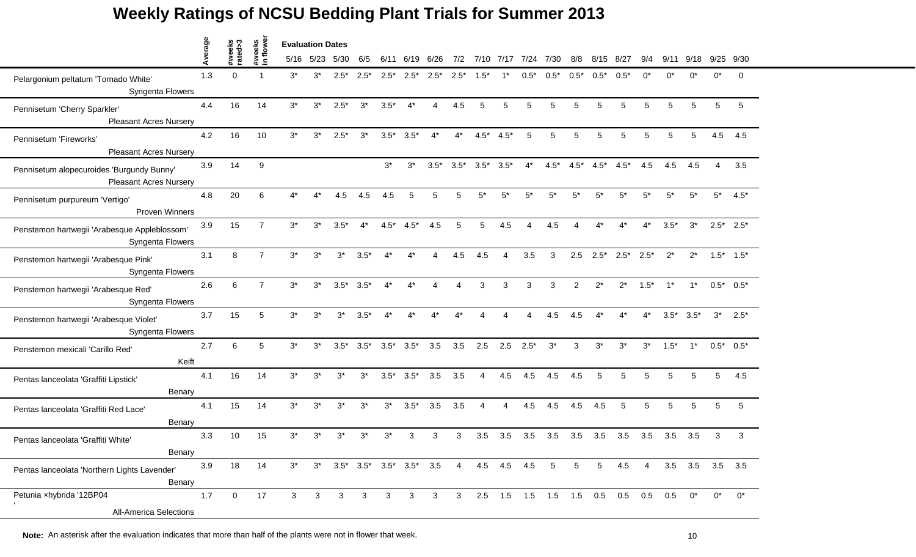|                                                                            | verage |                   |                    | <b>Evaluation Dates</b> |           |                                       |         |        |              |                |                |                 |                |                        |        |                 |                 |                                     |        |        |                 |                        |                 |
|----------------------------------------------------------------------------|--------|-------------------|--------------------|-------------------------|-----------|---------------------------------------|---------|--------|--------------|----------------|----------------|-----------------|----------------|------------------------|--------|-----------------|-----------------|-------------------------------------|--------|--------|-----------------|------------------------|-----------------|
|                                                                            | ⋖      | #weeks<br>rated>3 | #weeks<br>in flowe |                         | 5/16 5/23 | 5/30                                  | 6/5     | 6/11   | 6/19 6/26    |                | 7/2            |                 | 7/10 7/17 7/24 |                        | 7/30   | 8/8             | 8/15            | - 8/27                              |        | 9/11   | 9/18            |                        | $9/25$ $9/30$   |
| Pelargonium peltatum 'Tornado White'<br>Syngenta Flowers                   | 1.3    | $\Omega$          |                    | $3^*$                   | $3^*$     | $2.5*$                                | $2.5^*$ | $2.5*$ | $2.5^*$      | $2.5*$         | $2.5*$         | $1.5*$          |                | $0.5*$                 | $0.5*$ | $0.5*$          | $0.5*$          | $0.5*$                              | ሰ*     |        | ሰ*              | 0*                     | $\Omega$        |
| Pennisetum 'Cherry Sparkler'<br><b>Pleasant Acres Nursery</b>              | 4.4    | 16                | 14                 | $3^*$                   | $3^*$     | $2.5*$                                | $3^*$   | $3.5*$ | $4^*$        | $\overline{4}$ | 4.5            | 5               | 5              | 5                      | 5      | 5               | 5               | 5                                   | 5      | 5      | 5               | 5                      | 5               |
| Pennisetum 'Fireworks'<br><b>Pleasant Acres Nursery</b>                    | 4.2    | 16                | 10                 | $3^*$                   | $3^*$     | $2.5*$                                | $3^*$   | $3.5*$ | $3.5*$       | $4^*$          | $4^*$          | $4.5*$          | $4.5*$         | 5                      | 5      | 5               | 5               | 5                                   | 5      | 5      | 5               | 4.5                    | 4.5             |
| Pennisetum alopecuroides 'Burgundy Bunny'<br><b>Pleasant Acres Nursery</b> | 3.9    | 14                | 9                  |                         |           |                                       |         | $3^*$  | $3^*$        | $3.5*$         |                | $3.5^*$ $3.5^*$ | $3.5*$         | $4^*$                  | $4.5*$ | $4.5*$          | $4.5^*$         | $4.5*$                              | 4.5    | 4.5    | 4.5             | $\boldsymbol{\Lambda}$ | 3.5             |
| Pennisetum purpureum 'Vertigo'<br>Proven Winners                           | 4.8    | 20                | 6                  |                         |           | 4.5                                   | 4.5     | 4.5    | 5            |                | 5              |                 | 5*             | 5*                     | $5*$   | 5*              | 5*              | $5*$                                | 5*     | 5*     | $5*$            | $5^*$                  | $4.5*$          |
| Penstemon hartwegii 'Arabesque Appleblossom'<br>Syngenta Flowers           | 3.9    | 15                | $\overline{7}$     | $3^*$                   | $3^*$     | $3.5*$                                | $4^*$   | $4.5*$ | $4.5*$       | 4.5            | 5              | 5               | 4.5            | $\boldsymbol{\Lambda}$ | 4.5    | Δ               | $4^*$           | $4^*$                               | $4^*$  | $3.5*$ | $3^*$           |                        | $2.5^*$ 2.5*    |
| Penstemon hartwegii 'Arabesque Pink'<br>Syngenta Flowers                   | 3.1    | 8                 | $\overline{7}$     | $3^*$                   | $3^*$     | $3^*$                                 | $3.5*$  | $4^*$  | $4^*$        | 4              | 4.5            | 4.5             | Δ              | 3.5                    | 3      | 2.5             | $2.5*$          | $2.5^*$ 2.5*                        |        | $2^*$  | $2^*$           |                        | $1.5^*$ $1.5^*$ |
| Penstemon hartwegii 'Arabesque Red'<br>Syngenta Flowers                    | 2.6    | 6                 | $\overline{7}$     | $3^*$                   | $3^*$     | $3.5*$                                | $3.5*$  | $4^*$  | $4^*$        | Δ              | Δ              | 3               | 3              | 3                      | 3      | $\overline{2}$  | $2^*$           | $2^*$                               | $1.5*$ | $1^*$  | $1^*$           |                        | $0.5^*$ 0.5*    |
| Penstemon hartwegii 'Arabesque Violet'<br>Syngenta Flowers                 | 3.7    | 15                | 5                  | $3^*$                   | $3^*$     | $3^*$                                 | $3.5*$  |        |              |                |                |                 |                |                        | 4.5    | 4.5             |                 |                                     | 4*     | $3.5*$ | $3.5*$          | $3^*$                  | $2.5*$          |
| Penstemon mexicali 'Carillo Red'<br>Keift                                  | 2.7    | 6                 | 5                  | $3^*$                   | $3^*$     | $3.5*$                                | $3.5*$  | $3.5*$ | $3.5*$       | 3.5            | 3.5            | 2.5             | 2.5            | $2.5*$                 | $3^*$  | 3               | $3^*$           | $3^*$                               | $3^*$  | $1.5*$ | $1^*$           |                        | $0.5^*$ 0.5*    |
| Pentas lanceolata 'Graffiti Lipstick'<br>Benary                            | 4.1    | 16                | 14                 | $3^*$                   | $3^*$     | $3^*$                                 | $3^*$   | $3.5*$ | $3.5*$       | 3.5            | 3.5            | 4               | 4.5            | 4.5                    | 4.5    | 4.5             | 5               | 5                                   | 5      | 5      | 5               | $5^{\circ}$            | 4.5             |
| Pentas lanceolata 'Graffiti Red Lace'<br>Benary                            | 4.1    | 15                | 14                 | $3^*$                   | $3^*$     | $3^*$                                 | $3^*$   | $3^*$  | $3.5*$       | 3.5            | 3.5            | Δ               | 4              | 4.5                    | 4.5    | 4.5             | 4.5             | 5                                   | 5      | 5      | 5               | 5                      | 5               |
| Pentas lanceolata 'Graffiti White'<br>Benary                               | 3.3    | 10                | 15                 | $3^*$                   | $3^*$     | 3*                                    | 3*      | $3^*$  | 3            | з              | 3              | 3.5             | 3.5            | 3.5                    | 3.5    | 3.5             | 3.5             | 3.5                                 | 3.5    | 3.5    | 3.5             | 3                      | 3               |
| Pentas lanceolata 'Northern Lights Lavender'<br>Benary                     | 3.9    | 18                | 14                 | $3^*$                   | $3^*$     | $3.5^*$ $3.5^*$ $3.5^*$ $3.5^*$ $3.5$ |         |        |              |                | $\overline{4}$ |                 | 4.5 4.5 4.5    |                        | 5      | $5\overline{)}$ | $5\phantom{.0}$ | 4.5                                 | 4      |        | 3.5 3.5 3.5 3.5 |                        |                 |
| Petunia xhybrida '12BP04<br><b>All-America Selections</b>                  | 1.7    | $\mathbf 0$       | 17                 | 3                       | 3         | 3                                     | 3       | 3      | $\mathbf{3}$ | 3              | 3              |                 |                |                        |        |                 |                 | 2.5 1.5 1.5 1.5 1.5 0.5 0.5 0.5 0.5 |        |        | $0^*$           | $0^*$                  | $0^*$           |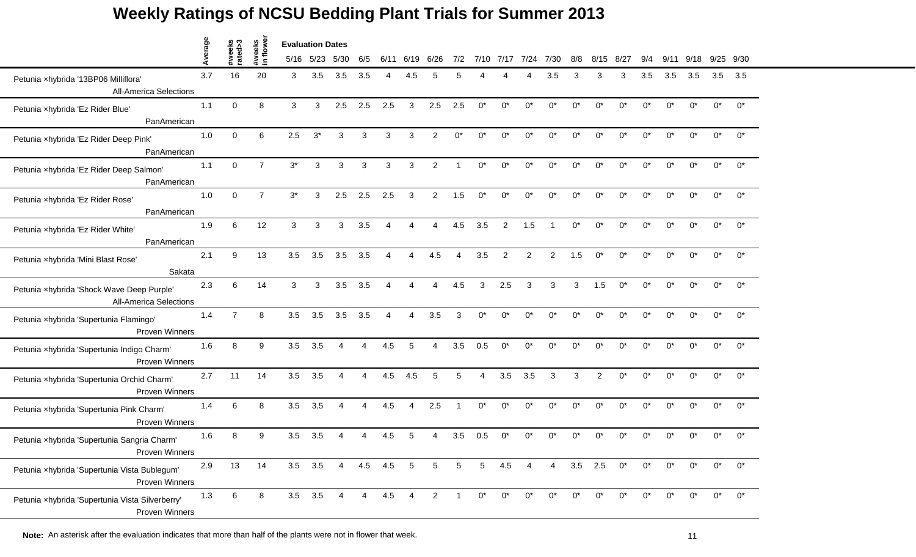|                                                                            | erage |                   |                    | <b>Evaluation Dates</b> |             |                |                |      |      |                |                          |            |             |            |                |       |                |            |       |       |             |       |               |
|----------------------------------------------------------------------------|-------|-------------------|--------------------|-------------------------|-------------|----------------|----------------|------|------|----------------|--------------------------|------------|-------------|------------|----------------|-------|----------------|------------|-------|-------|-------------|-------|---------------|
|                                                                            | ⋖     | #weeks<br>rated>3 | #weeks<br>in flowe |                         | 5/16 5/23   | 5/30           | 6/5            | 6/11 | 6/19 | 6/26           | 7/2                      |            | 7/10 7/17   | 7/24       | 7/30           | 8/8   | 8/15           | -8/27      |       | 9/11  | 9/18        |       | $9/25$ $9/30$ |
| Petunia xhybrida '13BP06 Milliflora'<br><b>All-America Selections</b>      | 3.7   | 16                | 20                 | 3                       | 3.5         | 3.5            | 3.5            |      |      |                |                          |            |             |            | 3.5            | З     | з              | з          | 3.5   | 3.5   | 3.5         | 3.5   | 3.5           |
| Petunia xhybrida 'Ez Rider Blue'<br>PanAmerican                            | 1.1   | $\Omega$          | 8                  | 3                       | 3           | 2.5            | 2.5            | 2.5  | 3    | 2.5            | 2.5                      | $0^*$      | $0^*$       | $0^*$      | $0^*$          | $0^*$ | $^{\circ}$     | $0^*$      | $0^*$ | $0^*$ | $0^*$       | $0^*$ | $0^*$         |
| Petunia xhybrida 'Ez Rider Deep Pink'<br>PanAmerican                       | 1.0   | $\Omega$          | 6                  | 2.5                     | $3^*$       | 3              | 3              | 3    | 3    | $\overline{2}$ | $0^*$                    | $^{\circ}$ | $^{\wedge}$ | $0^*$      | $0^*$          | $0^*$ | n*             | $0^*$      | ሰ*    | n*    | n*          | $0^*$ | $0^*$         |
| Petunia xhybrida 'Ez Rider Deep Salmon'<br>PanAmerican                     | 1.1   | $\Omega$          | $\overline{7}$     | $3^*$                   | 3           | 3              | 3              | 3    | 3    | 2              |                          | $0^*$      | $0^*$       | $0^*$      | $0^*$          | $0^*$ | $0^*$          | $0^*$      | $0^*$ | $0^*$ | $0^*$       | $0^*$ | $0^*$         |
| Petunia xhybrida 'Ez Rider Rose'<br>PanAmerican                            | 1.0   | $\Omega$          | $\overline{7}$     | $3^*$                   | 3           | 2.5            | 2.5            | 2.5  | 3    | $\overline{2}$ | 1.5                      | ሰ*         | ሰ*          | n*         | n*             | ሰ*    |                | $^{\circ}$ | n*    |       | n*          | $0^*$ | $0^*$         |
| Petunia xhybrida 'Ez Rider White'<br>PanAmerican                           | 1.9   | 6                 | 12                 | 3                       | 3           | 3              | 3.5            | Δ    | Δ    | 4              | 4.5                      | 3.5        | 2           | 1.5        | $\overline{1}$ | $0^*$ | $0^*$          | $0^*$      | $0^*$ | $0^*$ | $0^*$       | $0^*$ | $0^*$         |
| Petunia xhybrida 'Mini Blast Rose'<br>Sakata                               | 2.1   | 9                 | 13                 | 3.5                     | 3.5         | 3.5            | 3.5            | Δ    | 4    | 4.5            | $\boldsymbol{\varDelta}$ | 3.5        | 2           | 2          | $\overline{2}$ | 1.5   | $0^*$          | $0^*$      | $0^*$ | n*    | 0*          | $0^*$ | $0^*$         |
| Petunia xhybrida 'Shock Wave Deep Purple'<br><b>All-America Selections</b> | 2.3   | 6                 | 14                 | 3                       | 3           | 3.5            | 3.5            | Δ    | 4    | 4              | 4.5                      | 3          | 2.5         | 3          | 3              | 3     | 1.5            | $0^*$      | $0^*$ | $0^*$ | $0^*$       | $0^*$ | $0^*$         |
| Petunia xhybrida 'Supertunia Flamingo'<br><b>Proven Winners</b>            | 1.4   | $\overline{7}$    | 8                  | 3.5                     | 3.5         | 3.5            | 3.5            |      |      | 3.5            | 3                        | ሰ*         |             | n*         | ሰ*             | ሰ*    |                | n*         |       |       | n*          | $0^*$ | $0^*$         |
| Petunia xhybrida 'Supertunia Indigo Charm'<br><b>Proven Winners</b>        | 1.6   | 8                 | 9                  | 3.5                     | 3.5         | 4              | $\overline{4}$ | 4.5  | 5    | 4              | 3.5                      | 0.5        | $0^*$       | $0^*$      | $0^*$          | $0^*$ | $0^*$          | $0^*$      | $0^*$ | $0^*$ | $0^*$       | $0^*$ | $0^*$         |
| Petunia xhybrida 'Supertunia Orchid Charm'<br><b>Proven Winners</b>        | 2.7   | 11                | 14                 | 3.5                     | 3.5         | 4              | Δ              | 4.5  | 4.5  | 5              | 5                        | 4          | 3.5         | 3.5        | 3              | 3     | $\overline{2}$ | $0^*$      | 0*    |       | $0^*$       | $0^*$ | $0^*$         |
| Petunia xhybrida 'Supertunia Pink Charm'<br><b>Proven Winners</b>          | 1.4   | 6                 | 8                  | 3.5                     | 3.5         |                |                | 4.5  | 4    | 2.5            |                          | $0^*$      | $0^*$       | $0^*$      | $0^*$          | $0^*$ | $0^*$          | $0^*$      | $0^*$ | $0^*$ | $0^*$       | $0^*$ | $0^*$         |
| Petunia xhybrida 'Supertunia Sangria Charm'<br>Proven Winners              | 1.6   | 8                 | 9                  | 3.5                     | 3.5         |                |                | 4.5  | 5    |                | 3.5                      | 0.5        | $\Omega^*$  |            |                |       |                |            |       |       |             | $0^*$ | $0^*$         |
| Petunia xhybrida 'Supertunia Vista Bublegum'<br><b>Proven Winners</b>      | 2.9   | 13                | 14                 | 3.5                     | 3.5         | $\overline{4}$ | 4.5            | 4.5  | 5    | 5              | 5                        | 5          | 4.5         | 4          | 4              | 3.5   | 2.5            | $0^*$      | $0^*$ | $0^*$ | $0^*$       | $0^*$ | $0^*$         |
| Petunia xhybrida 'Supertunia Vista Silverberry'<br><b>Proven Winners</b>   | 1.3   | 6                 | 8                  |                         | $3.5$ $3.5$ | 4              | $\overline{4}$ | 4.5  | 4    | $\overline{2}$ |                          | $0^*$      | $^{\circ}$  | $^{\circ}$ | $0^*$          | $0^*$ | $^{\wedge}$    | $^{\circ}$ | ∩*    | n*    | $^{\wedge}$ | $0^*$ | $0^*$         |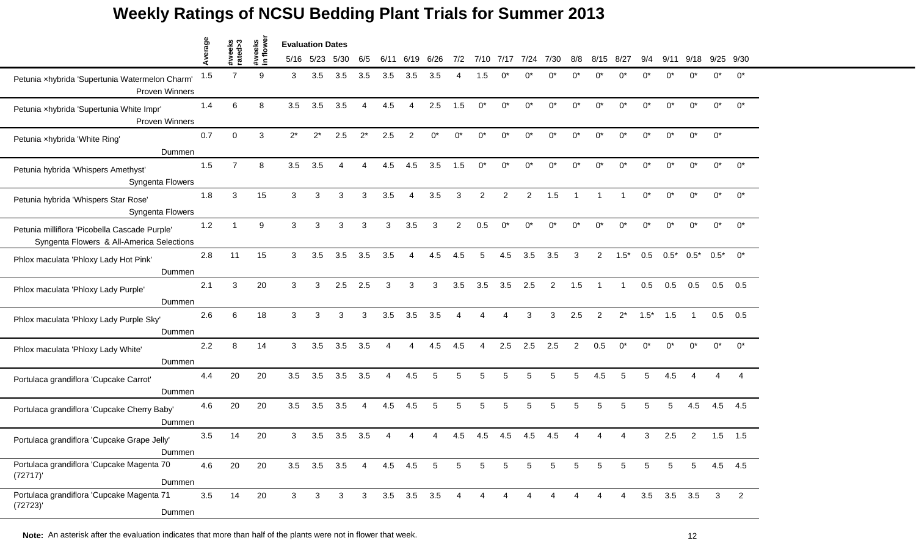|                                                                                            | verage |                   |                     | <b>Evaluation Dates</b> |           |               |                        |              |                   |                 |                |            |       |                |                |       |                |                |        |                   |        |              |                |
|--------------------------------------------------------------------------------------------|--------|-------------------|---------------------|-------------------------|-----------|---------------|------------------------|--------------|-------------------|-----------------|----------------|------------|-------|----------------|----------------|-------|----------------|----------------|--------|-------------------|--------|--------------|----------------|
|                                                                                            | ⋖      | #weeks<br>rated>3 | #weeks<br>in flower |                         | 5/16 5/23 | 5/30          | 6/5                    | 6/11         | 6/19              | 6/26            | 7/2            | 7/10       | 7/17  | 7/24           | 7/30           | 8/8   | 8/             | 8/2            |        |                   |        | 9/25         | 9/30           |
| Petunia xhybrida 'Supertunia Watermelon Charm'<br><b>Proven Winners</b>                    | 1.5    | $\overline{7}$    | 9                   | 3                       | 3.5       | 3.5           | 3.5                    | 3.5          | 3.5               | 3.5             |                | 1.5        |       |                |                |       |                |                |        |                   | ሰ*     | ሰ*           | በ*             |
| Petunia xhybrida 'Supertunia White Impr'<br>Proven Winners                                 | 1.4    | 6                 | 8                   | 3.5                     | 3.5       | 3.5           |                        | 4.5          | 4                 | 2.5             | 1.5            | $0^*$      | $0^*$ | $0^*$          | $0^*$          | $0^*$ | $0^*$          | $0^*$          | $0^*$  | $0^*$             | $0^*$  | $0^*$        | $0^*$          |
| Petunia xhybrida 'White Ring'<br>Dummen                                                    | 0.7    | $\Omega$          | 3                   | $2^*$                   | $2^*$     | 2.5           | $2^*$                  | 2.5          | $\overline{2}$    | $0^*$           | $0^*$          | $^{\circ}$ | ሰ*    | $0^*$          | $0^*$          | ሰ*    | n*             | ሰ*             | $0^*$  | $0^*$             | $0^*$  | $0^*$        |                |
| Petunia hybrida 'Whispers Amethyst'<br>Syngenta Flowers                                    | 1.5    | $\overline{7}$    | 8                   | 3.5                     | 3.5       | 4             |                        | 4.5          | 4.5               | 3.5             | 1.5            | $0^*$      | $0^*$ | 0*             | $0^*$          | $0^*$ | $0^*$          | 0*             | $0^*$  | $0^*$             | $0^*$  | $0^*$        | $0^*$          |
| Petunia hybrida 'Whispers Star Rose'<br>Syngenta Flowers                                   | 1.8    | 3                 | 15                  | 3                       | 3         | 3             | 3                      | 3.5          | Δ                 | 3.5             | 3              | 2          | 2     | 2              | 1.5            |       |                |                | n*     |                   | $0^*$  | $0^*$        | $0^*$          |
| Petunia milliflora 'Picobella Cascade Purple'<br>Syngenta Flowers & All-America Selections | 1.2    | 1                 | 9                   | 3                       | 3         | 3             | 3                      | $\mathbf{3}$ | 3.5               | 3               | $\overline{2}$ | 0.5        | $0^*$ | $0^*$          | $0^*$          | $0^*$ | $0^*$          | $0^*$          | $0^*$  | $0^*$             | $0^*$  | $0^*$        | $0^*$          |
| Phlox maculata 'Phloxy Lady Hot Pink'<br>Dummen                                            | 2.8    | 11                | 15                  | 3                       | 3.5       | 3.5           | 3.5                    | 3.5          | 4                 | 4.5             | 4.5            | 5          | 4.5   | 3.5            | 3.5            | 3     | $\overline{2}$ | $1.5*$         | 0.5    | $0.5*$            | $0.5*$ | $0.5^*$      | $0^*$          |
| Phlox maculata 'Phloxy Lady Purple'<br>Dummen                                              | 2.1    | 3                 | 20                  | 3                       | 3         | 2.5           | 2.5                    | 3            | 3                 | 3               | 3.5            | 3.5        | 3.5   | 2.5            | $\overline{2}$ | 1.5   | -1             |                | 0.5    | 0.5               | 0.5    | 0.5          | 0.5            |
| Phlox maculata 'Phloxy Lady Purple Sky'<br>Dummen                                          | 2.6    | 6                 | 18                  | 3                       | 3         | 3             | 3                      | 3.5          | 3.5               | 3.5             |                |            |       | 3              | 3              | 2.5   | $\mathfrak{p}$ | $2^*$          | $1.5*$ | 1.5               |        | 0.5          | 0.5            |
| Phlox maculata 'Phloxy Lady White'<br>Dummen                                               | 2.2    | 8                 | 14                  | 3                       | 3.5       | 3.5           | 3.5                    | Δ            | 4                 | 4.5             | 4.5            | 4          | 2.5   | 2.5            | 2.5            | 2     | 0.5            | $0^*$          | $0^*$  | $0^*$             | $0^*$  | $0^*$        | $0^*$          |
| Portulaca grandiflora 'Cupcake Carrot'<br>Dummen                                           | 4.4    | 20                | 20                  | 3.5                     | 3.5       | 3.5           | 3.5                    | $\Delta$     | 4.5               | 5               | 5              | 5          | 5     | 5              | 5              | 5     | 4.5            | 5              | 5      | 4.5               |        |              |                |
| Portulaca grandiflora 'Cupcake Cherry Baby'<br>Dummen                                      | 4.6    | 20                | 20                  | 3.5                     | 3.5       | 3.5           | $\boldsymbol{\Lambda}$ | 4.5          | 4.5               | 5               | 5              | 5          | 5     | 5              | 5              | 5     | 5              | 5              | 5      | 5                 | 4.5    | 4.5          | 4.5            |
| Portulaca grandiflora 'Cupcake Grape Jelly'<br>Dummen                                      | 3.5    | 14                | 20                  | 3                       | 3.5       | 3.5           | 3.5                    |              |                   |                 | 4.5            | 4.5        | 4.5   | 4.5            | 4.5            |       |                |                |        | 2.5               | 2      | 1.5          | 1.5            |
| Portulaca grandiflora 'Cupcake Magenta 70<br>(72717)'<br>Dummen                            | 4.6    | 20                | 20                  | 3.5                     |           | $3.5$ $3.5$ 4 |                        |              | 4.5 4.5           | $5\overline{5}$ | 5              | 5          | 5     | 5              | 5              | 5     | $\sqrt{5}$     | 5              | 5      | 5                 | 5      |              | 4.5 4.5        |
| Portulaca grandiflora 'Cupcake Magenta 71<br>(72723)'<br>Dummen                            | 3.5    | 14                | 20                  | 3                       | 3         | 3             | 3 <sup>7</sup>         |              | $3.5$ $3.5$ $3.5$ |                 | $\overline{4}$ | 4          |       | $\overline{A}$ | 4              |       | 4              | $\overline{4}$ |        | $3.5$ $3.5$ $3.5$ |        | $\mathbf{3}$ | $\overline{2}$ |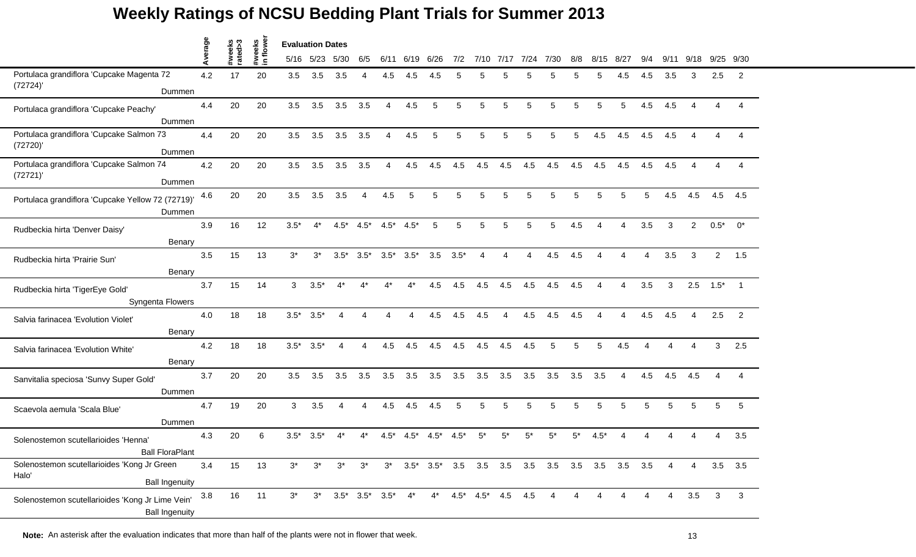|                                                                               | Average |                   |                     | <b>Evaluation Dates</b> |           |        |                               |                |        |        |        |                                   |                |      |      |     |                                                                       |        |                        |      |                |                |                          |
|-------------------------------------------------------------------------------|---------|-------------------|---------------------|-------------------------|-----------|--------|-------------------------------|----------------|--------|--------|--------|-----------------------------------|----------------|------|------|-----|-----------------------------------------------------------------------|--------|------------------------|------|----------------|----------------|--------------------------|
|                                                                               |         | #weeks<br>rated>3 | #weeks<br>in flower |                         | 5/16 5/23 | 5/30   | 6/5                           | 6/11           | 6/19   | 6/26   | 7/2    | 7/10                              | 7/17           | 7/24 | 7/30 | 8/8 | 8/15                                                                  | - 8/27 | 9/4                    | 9/11 | 9/18           |                | 9/25 9/30                |
| Portulaca grandiflora 'Cupcake Magenta 72                                     | 4.2     | 17                | 20                  | 3.5                     | 3.5       | 3.5    | Δ                             | 4.5            | 4.5    | 4.5    |        | 5                                 |                | 5    |      |     | 5                                                                     | 4.5    | 4.5                    | 3.5  | 3              | 2.5            | 2                        |
| (72724)'<br>Dummen                                                            |         |                   |                     |                         |           |        |                               |                |        |        |        |                                   |                |      |      |     |                                                                       |        |                        |      |                |                |                          |
| Portulaca grandiflora 'Cupcake Peachy'<br>Dummen                              | 4.4     | 20                | 20                  | 3.5                     | 3.5       | 3.5    | 3.5                           | 4              | 4.5    | 5      | 5      | 5                                 | 5              | 5    | 5    | 5   | 5                                                                     | 5      | 4.5                    | 4.5  | Δ              | 4              |                          |
| Portulaca grandiflora 'Cupcake Salmon 73<br>(72720)'                          | 4.4     | 20                | 20                  | 3.5                     | 3.5       | 3.5    | 3.5                           | $\overline{4}$ | 4.5    | 5      | 5      | 5                                 | 5              | 5    | 5    | 5   | 4.5                                                                   | 4.5    | 4.5                    | 4.5  | 4              | Δ              |                          |
| Dummen                                                                        |         |                   |                     |                         |           |        |                               |                |        |        |        |                                   |                |      |      |     |                                                                       |        |                        |      |                |                |                          |
| Portulaca grandiflora 'Cupcake Salmon 74<br>(72721)'<br>Dummen                | 4.2     | 20                | 20                  | 3.5                     | 3.5       | 3.5    | 3.5                           | $\overline{4}$ | 4.5    | 4.5    | 4.5    | 4.5                               | 4.5            | 4.5  | 4.5  | 4.5 | 4.5                                                                   | 4.5    | 4.5                    | 4.5  |                |                |                          |
| Portulaca grandiflora 'Cupcake Yellow 72 (72719)'<br>Dummen                   | 4.6     | 20                | 20                  | 3.5                     | 3.5       | 3.5    | 4                             | 4.5            | 5      | 5      | 5      | 5                                 | 5              | 5    | 5    | 5   | 5                                                                     |        | 5                      | 4.5  | 4.5            | 4.5            | 4.5                      |
| Rudbeckia hirta 'Denver Daisy'<br>Benary                                      | 3.9     | 16                | 12                  | $3.5*$                  | $4^*$     | $4.5*$ | $4.5*$                        | $4.5^*$        | $4.5*$ | 5      | 5      | 5                                 | 5              | 5    | 5    | 4.5 | Δ                                                                     | 4      | 3.5                    | 3    | $\overline{2}$ | $0.5*$         | $0^*$                    |
| Rudbeckia hirta 'Prairie Sun'<br>Benary                                       | 3.5     | 15                | 13                  | $3^*$                   | $3^*$     | $3.5*$ | $3.5*$                        | $3.5*$         | $3.5*$ | 3.5    | $3.5*$ | Δ                                 | $\overline{A}$ | 4    | 4.5  | 4.5 | Δ                                                                     | Δ      | $\Delta$               | 3.5  | 3              | $\overline{2}$ | 1.5                      |
| Rudbeckia hirta 'TigerEye Gold'                                               | 3.7     | 15                | 14                  | 3                       | $3.5*$    | $4^*$  | $4^*$                         | $4^*$          | $4^*$  | 4.5    | 4.5    | 4.5                               | 4.5            | 4.5  | 4.5  | 4.5 | Δ                                                                     | 4      | 3.5                    | 3    | 2.5            | $1.5*$         | $\overline{\phantom{0}}$ |
| Syngenta Flowers                                                              | 4.0     | 18                | 18                  | $3.5*$                  | $3.5*$    | Δ      |                               |                |        | 4.5    | 4.5    | 4.5                               |                | 4.5  | 4.5  | 4.5 |                                                                       |        | 4.5                    | 4.5  |                | 2.5            | 2                        |
| Salvia farinacea 'Evolution Violet'<br>Benary                                 |         |                   |                     |                         |           |        |                               |                |        |        |        |                                   |                |      |      |     |                                                                       |        |                        |      |                |                |                          |
| Salvia farinacea 'Evolution White'                                            | 4.2     | 18                | 18                  | $3.5*$                  | $3.5*$    | 4      | 4                             | 4.5            | 4.5    | 4.5    | 4.5    | 4.5                               | 4.5            | 4.5  | 5    | 5   | 5                                                                     | 4.5    | $\boldsymbol{\Lambda}$ | Δ    | 4              | 3              | 2.5                      |
| Benary<br>Sanvitalia speciosa 'Sunvy Super Gold'                              | 3.7     | 20                | 20                  | 3.5                     | 3.5       | 3.5    | 3.5                           | 3.5            | 3.5    | 3.5    | 3.5    | 3.5                               | 3.5            | 3.5  | 3.5  | 3.5 | 3.5                                                                   | 4      | 4.5                    | 4.5  | 4.5            | $\overline{4}$ | Δ                        |
| Dummen                                                                        |         |                   |                     |                         |           |        |                               |                |        |        |        |                                   |                |      |      |     |                                                                       |        |                        |      |                |                |                          |
| Scaevola aemula 'Scala Blue'<br>Dummen                                        | 4.7     | 19                | 20                  | 3                       | 3.5       | Δ      | Δ                             | 4.5            | 4.5    | 4.5    | 5      | 5                                 | 5              | 5    | 5    | 5   | 5                                                                     | 5      | 5                      | 5    | 5              | 5              | 5                        |
| Solenostemon scutellarioides 'Henna'<br><b>Ball FloraPlant</b>                | 4.3     | 20                | 6                   | $3.5*$                  | $3.5*$    | 4*     |                               | $4.5*$         | $4.5*$ | $4.5*$ | $4.5*$ | $5^*$                             | 5*             |      | 5,   | 5*  | $4.5^*$                                                               |        |                        |      |                | Δ              | 3.5                      |
| Solenostemon scutellarioides 'Kong Jr Green<br>Halo'<br><b>Ball Ingenuity</b> | 3.4     | 15                | 13                  | $3^*$                   | $3^*$     | $3^*$  | $3^*$                         | $3^*$          |        |        |        |                                   |                |      |      |     | $3.5^*$ $3.5^*$ $3.5$ $3.5$ $3.5$ $3.5$ $3.5$ $3.5$ $3.5$ $3.5$ $3.5$ |        |                        | 4    | 4              |                | $3.5$ $3.5$              |
| Solenostemon scutellarioides 'Kong Jr Lime Vein'<br><b>Ball Ingenuity</b>     | 3.8     | 16                | 11                  | $3^*$                   | $3^*$     |        | $3.5^*$ $3.5^*$ $3.5^*$ $4^*$ |                |        |        |        | $4^*$ $4.5^*$ $4.5^*$ $4.5$ $4.5$ |                |      | 4    | 4   | 4                                                                     | 4      |                        | 4    | 3.5            | 3              | 3                        |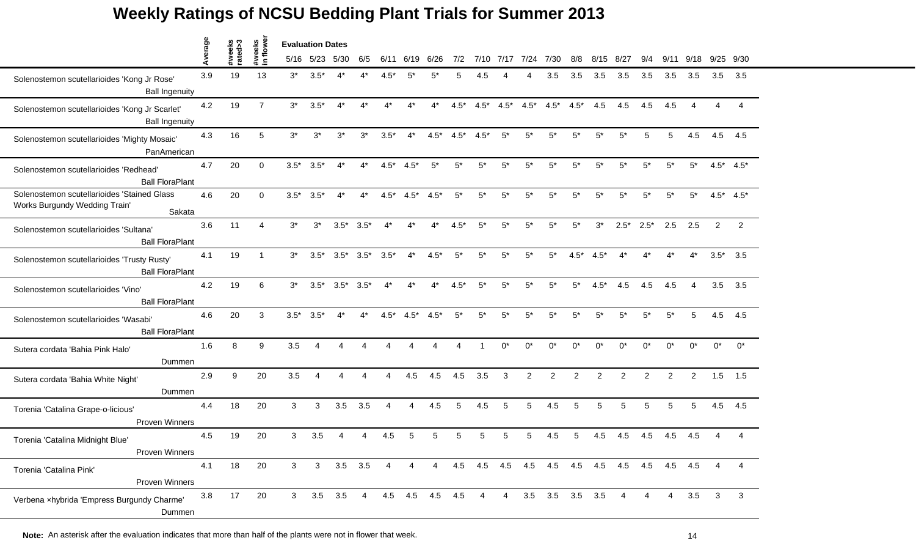|                                                                                        | verage | #weeks<br>rated>3 | eeks           | <b>Evaluation Dates</b><br>in flow<br>7/10 7/17 7/24 7/30 |                |                |        |        |                |        |        |        |                |                |                |            |                             |                |                |             |            |          |                 |
|----------------------------------------------------------------------------------------|--------|-------------------|----------------|-----------------------------------------------------------|----------------|----------------|--------|--------|----------------|--------|--------|--------|----------------|----------------|----------------|------------|-----------------------------|----------------|----------------|-------------|------------|----------|-----------------|
|                                                                                        |        |                   |                |                                                           | 5/16 5/23 5/30 |                | 6/5    | 6/11   | 6/19           | 6/26   | 7/2    |        |                |                |                | 8/8        | 8/15                        | 8/27           | 9/4            | 9/11        | 9/18       | 9/25     | 9/30            |
| Solenostemon scutellarioides 'Kong Jr Rose'<br><b>Ball Ingenuity</b>                   | 3.9    | 19                | 13             | $3^*$                                                     | $3.5*$         | 4*             |        | $4.5*$ | 5*             |        | 5      | 4.5    |                |                | 3.5            | 3.5        | 3.5                         | 3.5            | 3.5            | 3.5         | 3.5        | 3.5      | 3.5             |
| Solenostemon scutellarioides 'Kong Jr Scarlet'<br><b>Ball Ingenuity</b>                | 4.2    | 19                | $\overline{7}$ | $3^*$                                                     | $3.5*$         | $4^*$          | 4*     | $4^*$  | 4*             | 4*     | $4.5*$ | $4.5*$ | $4.5*$         | $4.5*$         | $4.5*$         | $4.5*$     | 4.5                         | 4.5            | 4.5            | 4.5         | 4          | $\Delta$ |                 |
| Solenostemon scutellarioides 'Mighty Mosaic'<br>PanAmerican                            | 4.3    | 16                | 5              | $3^*$                                                     | $3^*$          | $3^*$          | $3^*$  | $3.5*$ | $4^*$          | $4.5*$ | $4.5*$ | $4.5*$ | $5^*$          | $5^*$          | $5^*$          | $5^*$      | 5*                          | $5^*$          | 5              | 5           | 4.5        | 4.5      | 4.5             |
| Solenostemon scutellarioides 'Redhead'<br><b>Ball FloraPlant</b>                       | 4.7    | 20                | $\Omega$       | $3.5*$                                                    | $3.5*$         | $4^*$          | $4^*$  | $4.5*$ | $4.5*$         | $5^*$  | $5^*$  | $5^*$  | $5*$           | $5^*$          | $5^*$          | $5*$       | $5*$                        | $5^*$          | $5^*$          | $5*$        | $5^*$      |          | $4.5^*$ $4.5^*$ |
| Solenostemon scutellarioides 'Stained Glass<br>Works Burgundy Wedding Train'<br>Sakata | 4.6    | 20                | $\Omega$       | $3.5*$                                                    | $3.5*$         | $4^*$          |        | $4.5*$ | $4.5*$         | $4.5*$ | $5^*$  | $5*$   | 5*             | $5^*$          | $5*$           | $5*$       | 5*                          | $5^*$          | $5*$           | $5*$        | $5*$       |          | $4.5^*$ $4.5^*$ |
| Solenostemon scutellarioides 'Sultana'<br><b>Ball FloraPlant</b>                       | 3.6    | 11                | $\overline{A}$ | $3^*$                                                     | $3^*$          | $3.5*$         | $3.5*$ | $4^*$  | $4^*$          | $4^*$  | $4.5*$ | $5^*$  | $5^*$          | $5*$           | $5^*$          | $5^*$      | $3^*$                       | $2.5*$         | $2.5*$         | 2.5         | 2.5        | 2        | 2               |
| Solenostemon scutellarioides 'Trusty Rusty'<br><b>Ball FloraPlant</b>                  | 4.1    | 19                | $\mathbf 1$    | $3^*$                                                     | $3.5*$         | $3.5*$         | $3.5*$ | $3.5*$ | $4^*$          | $4.5*$ | $5^*$  | $5*$   | $5^*$          | $5^*$          | $5*$           | $4.5*$     | $4.5*$                      | $4^*$          | 4*             |             | $4^*$      |          | $3.5^*$ 3.5     |
| Solenostemon scutellarioides 'Vino'<br><b>Ball FloraPlant</b>                          | 4.2    | 19                | 6              | $3^*$                                                     | $3.5*$         | $3.5*$         | $3.5*$ | $4^*$  | $4^*$          | $4^*$  | $4.5*$ | $5^*$  | $5^*$          | $5^*$          | $5^*$          | $5^*$      | $4.5*$                      | 4.5            | 4.5            | 4.5         | 4          | 3.5      | 3.5             |
| Solenostemon scutellarioides 'Wasabi'<br><b>Ball FloraPlant</b>                        | 4.6    | 20                | 3              | $3.5^*$                                                   | $3.5*$         | 4*             |        | $4.5*$ | $4.5*$         | $4.5*$ | $5^*$  | $5*$   | 5*             | $5^*$          | $5*$           | 5*         | 5*                          | 5*             | 5*             | $5*$        | 5          | 4.5      | 4.5             |
| Sutera cordata 'Bahia Pink Halo'<br>Dummen                                             | 1.6    | 8                 | 9              | 3.5                                                       |                |                |        |        |                |        |        |        | $^{\circ}$     | $^{\circ}$     | $0^*$          | $^{\circ}$ | $^{\wedge}$                 | $^{\circ}$     | $^{\circ}$     | $^{\circ}$  | $^{\circ}$ | $0^*$    | $0^*$           |
| Sutera cordata 'Bahia White Night'<br>Dummen                                           | 2.9    | 9                 | 20             | 3.5                                                       |                |                |        |        | 4.5            | 4.5    | 4.5    | 3.5    | 3              | $\overline{2}$ | $\overline{c}$ | 2          | 2                           | $\overline{2}$ | $\overline{2}$ | 2           | 2          | 1.5      | 1.5             |
| Torenia 'Catalina Grape-o-licious'<br><b>Proven Winners</b>                            | 4.4    | 18                | 20             | 3                                                         | 3              | 3.5            | 3.5    | Δ      | 4              | 4.5    | 5      | 4.5    | 5              | 5              | 4.5            | 5          | 5                           | 5              | 5              | 5           | 5          | 4.5      | 4.5             |
| Torenia 'Catalina Midnight Blue'<br>Proven Winners                                     | 4.5    | 19                | 20             | 3                                                         | 3.5            | Δ              |        | 4.5    | 5              | 5      | 5      | 5      |                | 5              | 4.5            | 5          | 4.5                         | 4.5            | 4.5            | 4.5         | 4.5        |          |                 |
| Torenia 'Catalina Pink'<br>Proven Winners                                              | 4.1    | 18                | 20             | 3                                                         | 3 <sup>7</sup> | $3.5\quad 3.5$ |        | 4      | $\overline{4}$ | 4      | 4.5    |        |                |                |                |            | 4.5 4.5 4.5 4.5 4.5 4.5 4.5 |                |                | 4.5 4.5 4.5 |            | 4        | 4               |
| Verbena xhybrida 'Empress Burgundy Charme'<br>Dummen                                   | 3.8    | 17                | 20             | 3 <sup>1</sup>                                            | 3.5            | 3.5            | 4      |        | 4.5 4.5 4.5    |        | 4.5    | 4      | $\overline{4}$ |                | $3.5\quad 3.5$ | 3.5        | 3.5                         | 4              |                | 4           | 3.5        | 3        | 3               |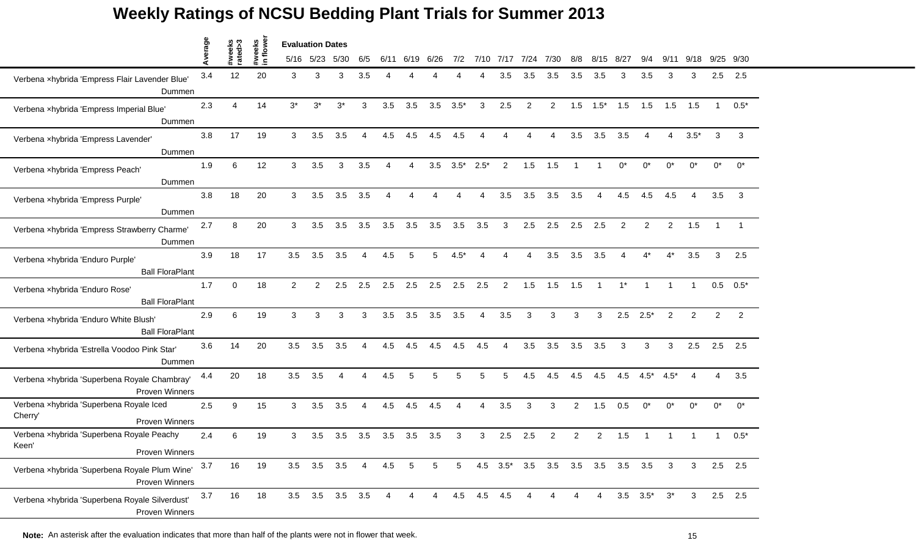|                                                                             | Average |                   |                    | <b>Evaluation Dates</b> |           |                 |                |                        |      |                 |                 |         |                |      |                              |                |                |                |                        |                |        |              |               |
|-----------------------------------------------------------------------------|---------|-------------------|--------------------|-------------------------|-----------|-----------------|----------------|------------------------|------|-----------------|-----------------|---------|----------------|------|------------------------------|----------------|----------------|----------------|------------------------|----------------|--------|--------------|---------------|
|                                                                             |         | #weeks<br>rated>3 | #weeks<br>in flowe |                         | 5/16 5/23 | 5/30            | 6/5            | 6/11                   | 6/19 | 6/26            | 7/2             |         | 7/10 7/17      | 7/24 | 7/30                         | 8/8            | 8/15           | 8/27           | 9/4                    | 9/11           | 9/18   |              | 9/25 9/30     |
| Verbena xhybrida 'Empress Flair Lavender Blue'<br>Dummen                    | 3.4     | 12                | 20                 | 3                       | 3         | 3               | 3.5            |                        |      |                 |                 |         | 3.5            | 3.5  | 3.5                          | 3.5            | 3.5            | 3              | 3.5                    | 3              | 3      | 2.5          | 2.5           |
| Verbena xhybrida 'Empress Imperial Blue'<br>Dummen                          | 2.3     | 4                 | 14                 | $3^*$                   | $3^*$     | $3^*$           | 3              | 3.5                    | 3.5  | 3.5             | $3.5*$          | 3       | 2.5            | 2    | $\overline{2}$               | 1.5            | $1.5*$         | 1.5            | 1.5                    | 1.5            | 1.5    | $\mathbf{1}$ | $0.5*$        |
| Verbena xhybrida 'Empress Lavender'<br>Dummen                               | 3.8     | 17                | 19                 | 3                       | 3.5       | 3.5             | 4              | 4.5                    | 4.5  | 4.5             | 4.5             | 4       | 4              | 4    | 4                            | 3.5            | 3.5            | 3.5            | $\boldsymbol{\Lambda}$ | $\overline{4}$ | $3.5*$ | 3            | 3             |
| Verbena xhybrida 'Empress Peach'<br>Dummen                                  | 1.9     | 6                 | 12                 | 3                       | 3.5       | 3               | 3.5            | $\boldsymbol{\Lambda}$ | 4    | 3.5             | $3.5^*$ 2.5*    |         | $\overline{2}$ | 1.5  | 1.5                          | $\overline{1}$ |                | $0^*$          | $0^*$                  | $0^*$          | $0^*$  | $0^*$        | $0^*$         |
| Verbena xhybrida 'Empress Purple'<br>Dummen                                 | 3.8     | 18                | 20                 | 3                       | 3.5       | 3.5             | 3.5            |                        | Δ    |                 |                 |         | 3.5            | 3.5  | 3.5                          | 3.5            | 4              | 4.5            | 4.5                    | 4.5            |        | 3.5          | 3             |
| Verbena xhybrida 'Empress Strawberry Charme'<br>Dummen                      | 2.7     | 8                 | 20                 | 3                       | 3.5       | 3.5             | 3.5            | 3.5                    | 3.5  | 3.5             | 3.5             | 3.5     | 3              | 2.5  | 2.5                          | 2.5            | 2.5            | $\overline{2}$ | 2                      | $\overline{2}$ | 1.5    | $\mathbf{1}$ |               |
| Verbena xhybrida 'Enduro Purple'<br><b>Ball FloraPlant</b>                  | 3.9     | 18                | 17                 | 3.5                     | 3.5       | 3.5             | 4              | 4.5                    | 5    | 5               | $4.5*$          | Δ       | 4              | 4    | 3.5                          | 3.5            | 3.5            | 4              | $4^*$                  | $4^*$          | 3.5    | 3            | 2.5           |
| Verbena xhybrida 'Enduro Rose'<br><b>Ball FloraPlant</b>                    | 1.7     | $\Omega$          | 18                 | $\overline{2}$          | 2         | 2.5             | 2.5            | 2.5                    | 2.5  | 2.5             | 2.5             | 2.5     | $\overline{2}$ | 1.5  | 1.5                          | 1.5            | $\overline{1}$ | $1^*$          |                        |                |        |              | $0.5$ $0.5^*$ |
| Verbena xhybrida 'Enduro White Blush'<br><b>Ball FloraPlant</b>             | 2.9     | 6                 | 19                 | 3                       | 3         | 3               | 3              | 3.5                    | 3.5  | 3.5             | 3.5             | Δ       | 3.5            | 3    | 3                            | 3              | 3              | 2.5            | $2.5*$                 | $\overline{c}$ | 2      | 2            | 2             |
| Verbena xhybrida 'Estrella Voodoo Pink Star'<br>Dummen                      | 3.6     | 14                | 20                 | 3.5                     | 3.5       | 3.5             | 4              | 4.5                    | 4.5  | 4.5             | 4.5             | 4.5     | 4              | 3.5  | 3.5                          | 3.5            | 3.5            | 3              | 3                      | 3              | 2.5    | 2.5          | 2.5           |
| Verbena xhybrida 'Superbena Royale Chambray'<br>Proven Winners              | 4.4     | 20                | 18                 | 3.5                     | 3.5       | 4               | 4              | 4.5                    | 5    | 5               | 5               | 5       | 5              | 4.5  | 4.5                          | 4.5            | 4.5            | 4.5            | $4.5*$                 | $4.5*$         | 4      | 4            | 3.5           |
| Verbena xhybrida 'Superbena Royale Iced<br>Cherry'<br><b>Proven Winners</b> | 2.5     | 9                 | 15                 | 3                       | 3.5       | 3.5             | $\overline{4}$ | 4.5                    | 4.5  | 4.5             | Δ               | 4       | 3.5            | 3    | 3                            | $\overline{2}$ | 1.5            | 0.5            | $0^*$                  | $0^*$          | $0^*$  | $0^*$        | $0^*$         |
| Verbena xhybrida 'Superbena Royale Peachy<br>Keen'<br>Proven Winners        | 2.4     | 6                 | 19                 | 3                       | 3.5       | 3.5             | 3.5            | 3.5                    | 3.5  | 3.5             | 3               | 3       | 2.5            | 2.5  | $\overline{2}$               | 2              | 2              | 1.5            |                        |                |        |              | $0.5*$        |
| Verbena xhybrida 'Superbena Royale Plum Wine'<br>Proven Winners             | 3.7     | 16                | 19                 |                         |           | 3.5 3.5 3.5 4   |                | 4.5                    | 5    | $5\overline{)}$ | $5\phantom{.0}$ |         |                |      | 4.5 3.5* 3.5 3.5 3.5 3.5 3.5 |                |                |                | 3.5                    | 3              | 3      |              | $2.5$ 2.5     |
| Verbena xhybrida 'Superbena Royale Silverdust'<br><b>Proven Winners</b>     | 3.7     | 16                | 18                 |                         |           | 3.5 3.5 3.5 3.5 |                | 4                      | 4    | 4               |                 | 4.5 4.5 | 4.5            |      | 4                            |                | 4              |                | $3.5\quad 3.5^*$       | $3^*$          | 3      |              | $2.5$ 2.5     |